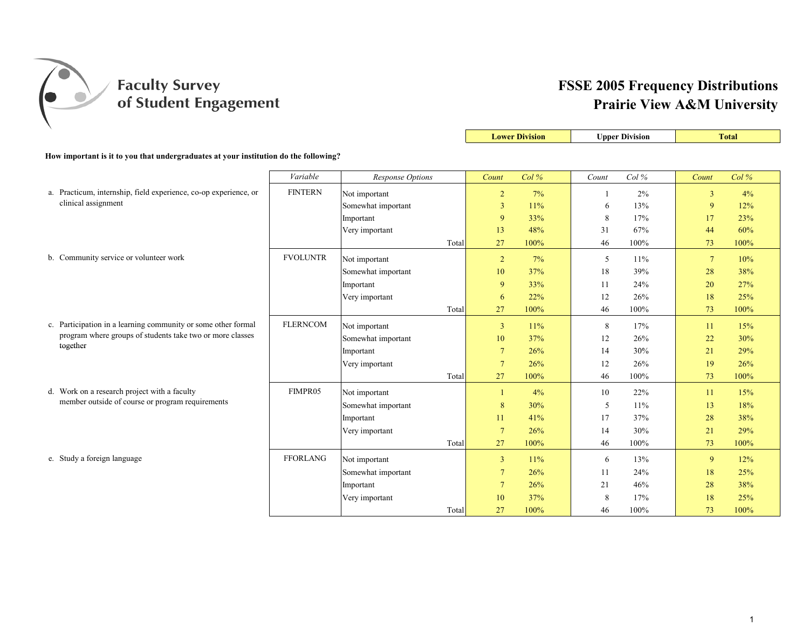

|                                                                                      |                 |                    |                 | <b>Lower Division</b> |              | <b>Upper Division</b> |                 | <b>Total</b> |
|--------------------------------------------------------------------------------------|-----------------|--------------------|-----------------|-----------------------|--------------|-----------------------|-----------------|--------------|
| How important is it to you that undergraduates at your institution do the following? |                 |                    |                 |                       |              |                       |                 |              |
|                                                                                      |                 |                    |                 |                       |              |                       |                 |              |
|                                                                                      | Variable        | Response Options   | Count           | Col%                  | Count        | Col%                  | Count           | Col%         |
| a. Practicum, internship, field experience, co-op experience, or                     | <b>FINTERN</b>  | Not important      | $\overline{2}$  | 7%                    | $\mathbf{1}$ | 2%                    | $\overline{3}$  | 4%           |
| clinical assignment                                                                  |                 | Somewhat important | 3               | 11%                   | 6            | 13%                   | 9               | 12%          |
|                                                                                      |                 | Important          | 9               | 33%                   | 8            | 17%                   | 17              | 23%          |
|                                                                                      |                 | Very important     | 13              | 48%                   | 31           | 67%                   | 44              | 60%          |
|                                                                                      |                 | Total              | 27              | 100%                  | 46           | 100%                  | 73              | 100%         |
| b. Community service or volunteer work                                               | <b>FVOLUNTR</b> | Not important      | $\overline{2}$  | 7%                    | 5            | 11%                   | $7\phantom{.0}$ | 10%          |
|                                                                                      |                 | Somewhat important | 10              | 37%                   | 18           | 39%                   | 28              | 38%          |
|                                                                                      |                 | Important          | 9               | 33%                   | 11           | 24%                   | 20              | 27%          |
|                                                                                      |                 | Very important     | 6               | 22%                   | 12           | 26%                   | 18              | 25%          |
|                                                                                      |                 | Total              | 27              | 100%                  | 46           | 100%                  | 73              | 100%         |
| c. Participation in a learning community or some other formal                        | <b>FLERNCOM</b> | Not important      | $\overline{3}$  | 11%                   | 8            | 17%                   | 11              | 15%          |
| program where groups of students take two or more classes                            |                 | Somewhat important | 10              | 37%                   | 12           | 26%                   | 22              | 30%          |
| together                                                                             |                 | Important          | $7\phantom{.0}$ | 26%                   | 14           | 30%                   | 21              | 29%          |
|                                                                                      |                 | Very important     | $7\phantom{.0}$ | 26%                   | 12           | 26%                   | 19              | 26%          |
|                                                                                      |                 | Total              | 27              | 100%                  | 46           | 100%                  | 73              | 100%         |
| d. Work on a research project with a faculty                                         | FIMPR05         | Not important      | -1              | 4%                    | 10           | 22%                   | 11              | 15%          |
| member outside of course or program requirements                                     |                 | Somewhat important | 8               | 30%                   | 5            | 11%                   | 13              | 18%          |
|                                                                                      |                 | Important          | 11              | 41%                   | 17           | 37%                   | 28              | 38%          |
|                                                                                      |                 | Very important     | $7\phantom{.0}$ | 26%                   | 14           | 30%                   | 21              | 29%          |
|                                                                                      |                 | Total              | 27              | 100%                  | 46           | 100%                  | 73              | 100%         |
| e. Study a foreign language                                                          | <b>FFORLANG</b> | Not important      | $\overline{3}$  | 11%                   | 6            | 13%                   | 9               | 12%          |
|                                                                                      |                 | Somewhat important | $\tau$          | 26%                   | 11           | 24%                   | 18              | 25%          |
|                                                                                      |                 | Important          | $\tau$          | 26%                   | 21           | 46%                   | 28              | 38%          |
|                                                                                      |                 | Very important     | 10              | 37%                   | 8            | 17%                   | 18              | 25%          |
|                                                                                      |                 | Total              | 27              | 100%                  | 46           | 100%                  | 73              | 100%         |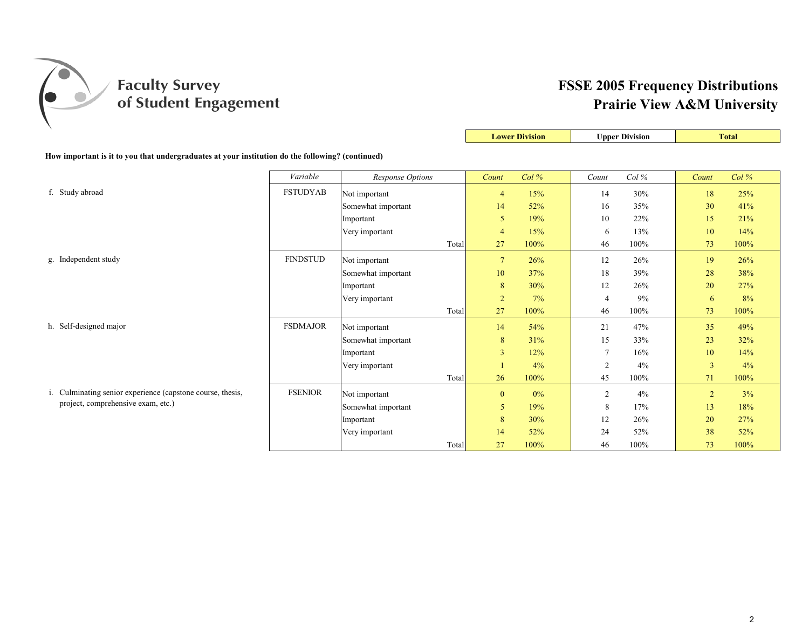

|                                                                                                  |                 |                         |                | <b>Lower Division</b> |                | <b>Upper Division</b> |                | <b>Total</b> |
|--------------------------------------------------------------------------------------------------|-----------------|-------------------------|----------------|-----------------------|----------------|-----------------------|----------------|--------------|
| How important is it to you that undergraduates at your institution do the following? (continued) |                 |                         |                |                       |                |                       |                |              |
|                                                                                                  | Variable        | <b>Response Options</b> | Count          | Col%                  | Count          | Col%                  | Count          | Col%         |
| f. Study abroad                                                                                  | <b>FSTUDYAB</b> | Not important           | $\overline{4}$ | 15%                   | 14             | 30%                   | 18             | 25%          |
|                                                                                                  |                 | Somewhat important      | 14             | 52%                   | 16             | 35%                   | 30             | 41%          |
|                                                                                                  |                 | Important               | 5              | 19%                   | 10             | 22%                   | 15             | 21%          |
|                                                                                                  |                 | Very important          | $\overline{4}$ | 15%                   | 6              | 13%                   | 10             | 14%          |
|                                                                                                  |                 | Total                   | 27             | 100%                  | 46             | 100%                  | 73             | 100%         |
| g. Independent study                                                                             | <b>FINDSTUD</b> | Not important           | $\overline{7}$ | 26%                   | 12             | 26%                   | 19             | 26%          |
|                                                                                                  |                 | Somewhat important      | 10             | 37%                   | 18             | 39%                   | 28             | 38%          |
|                                                                                                  |                 | Important               | $8\phantom{1}$ | 30%                   | 12             | 26%                   | 20             | 27%          |
|                                                                                                  |                 | Very important          | $\overline{2}$ | 7%                    | 4              | 9%                    | 6              | 8%           |
|                                                                                                  |                 | Total                   | 27             | 100%                  | 46             | 100%                  | 73             | 100%         |
| h. Self-designed major                                                                           | <b>FSDMAJOR</b> | Not important           | 14             | 54%                   | 21             | 47%                   | 35             | 49%          |
|                                                                                                  |                 | Somewhat important      | 8              | 31%                   | 15             | 33%                   | 23             | 32%          |
|                                                                                                  |                 | Important               | $\overline{3}$ | 12%                   | $\overline{7}$ | 16%                   | 10             | 14%          |
|                                                                                                  |                 | Very important          |                | 4%                    | $\overline{2}$ | 4%                    | 3              | 4%           |
|                                                                                                  |                 | Total                   | 26             | 100%                  | 45             | 100%                  | 71             | 100%         |
| i. Culminating senior experience (capstone course, thesis,                                       | <b>FSENIOR</b>  | Not important           | $\mathbf{0}$   | $0\%$                 | $\overline{2}$ | 4%                    | $\overline{2}$ | 3%           |
| project, comprehensive exam, etc.)                                                               |                 | Somewhat important      | 5              | 19%                   | 8              | 17%                   | 13             | 18%          |
|                                                                                                  |                 | Important               | 8              | 30%                   | 12             | 26%                   | 20             | 27%          |
|                                                                                                  |                 | Very important          | 14             | 52%                   | 24             | 52%                   | 38             | 52%          |
|                                                                                                  |                 | Total                   | 27             | 100%                  | 46             | 100%                  | 73             | 100%         |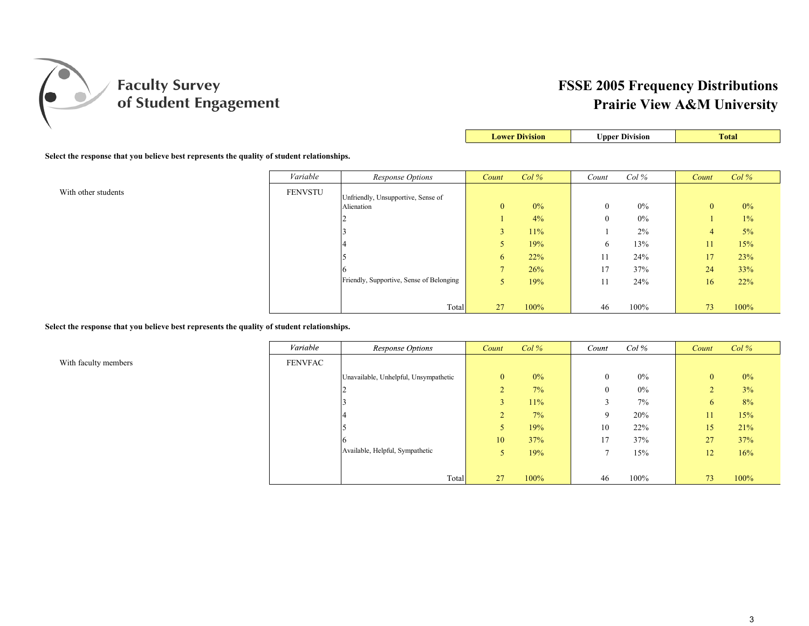

| <b>Upper Division</b><br><b>Lower Division</b> | <b>otal</b> |
|------------------------------------------------|-------------|
|------------------------------------------------|-------------|

**Select the response that you believe best represents the quality of student relationships.**

|                     | Variable       | Response Options                         | Count          | Col%  | Count    | $Col\%$ | Count          | Col%  |
|---------------------|----------------|------------------------------------------|----------------|-------|----------|---------|----------------|-------|
| With other students | <b>FENVSTU</b> | Unfriendly, Unsupportive, Sense of       |                |       |          |         |                |       |
|                     |                | Alienation                               | $\mathbf{0}$   | $0\%$ | $\theta$ | $0\%$   | $\overline{0}$ | $0\%$ |
|                     |                |                                          |                | 4%    | $\theta$ | $0\%$   |                | 1%    |
|                     |                |                                          | 3              | 11%   |          | 2%      | $\overline{4}$ | 5%    |
|                     |                |                                          |                | 19%   | 6.       | 13%     | 11             | 15%   |
|                     |                |                                          | $\sigma$       | 22%   | 11       | 24%     | 17             | 23%   |
|                     |                |                                          | $\overline{ }$ | 26%   | 17       | 37%     | 24             | 33%   |
|                     |                | Friendly, Supportive, Sense of Belonging |                | 19%   | 11       | 24%     | 16             | 22%   |
|                     |                |                                          |                |       |          |         |                |       |
|                     |                | Total                                    | 27             | 100%  | 46       | 100%    | 73             | 100%  |

**Select the response that you believe best represents the quality of student relationships.**

With faculty members

| Variable       | Response Options                      | Count          | Col%  | Count          | Col%  | Count        | Col%  |
|----------------|---------------------------------------|----------------|-------|----------------|-------|--------------|-------|
| <b>FENVFAC</b> |                                       |                |       |                |       |              |       |
|                | Unavailable, Unhelpful, Unsympathetic | $\mathbf{0}$   | $0\%$ | $\mathbf{0}$   | $0\%$ | $\mathbf{0}$ | $0\%$ |
|                | ∠                                     | 2              | 7%    | $\mathbf{0}$   | $0\%$ | 2            | 3%    |
|                |                                       | 3              | 11%   | 3              | 7%    | 6            | 8%    |
|                |                                       | $\overline{2}$ | 7%    | 9              | 20%   | 11           | 15%   |
|                |                                       | 5              | 19%   | 10             | 22%   | 15           | 21%   |
|                | b                                     | 10             | 37%   | 17             | 37%   | 27           | 37%   |
|                | Available, Helpful, Sympathetic       | 5              | 19%   | $\overline{7}$ | 15%   | 12           | 16%   |
|                |                                       |                |       |                |       |              |       |
|                | Total                                 | 27             | 100%  | 46             | 100%  | 73           | 100%  |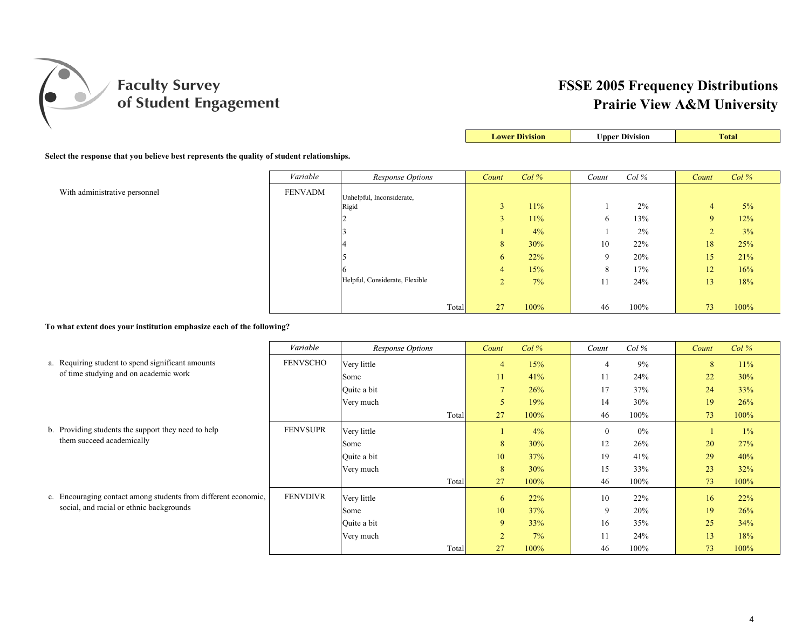

| <b>Lower Division</b> | <b>Upper Division</b> | <b>Total</b> |
|-----------------------|-----------------------|--------------|

#### **Select the response that you believe best represents the quality of student relationships.**

|                               | Variable       | <b>Response Options</b>        | Count         | Col% | Count        | $Col\%$ | Count       | Col% |
|-------------------------------|----------------|--------------------------------|---------------|------|--------------|---------|-------------|------|
| With administrative personnel | <b>FENVADM</b> | Unhelpful, Inconsiderate,      |               |      |              |         |             |      |
|                               |                | Rigid                          | $\mathcal{L}$ | 11%  |              | 2%      | 4           | 5%   |
|                               |                |                                |               | 11%  | $\sigma$     | 13%     | 9           | 12%  |
|                               |                |                                |               | 4%   |              | 2%      | $\sim$<br>∠ | 3%   |
|                               |                |                                | 8             | 30%  | 10           | 22%     | 18          | 25%  |
|                               |                |                                | $\mathbf{6}$  | 22%  | $\mathbf Q$  | 20%     | 15          | 21%  |
|                               |                |                                | 4             | 15%  | $\circ$<br>Ō | 17%     | 12          | 16%  |
|                               |                | Helpful, Considerate, Flexible | $\sim$<br>∠   | 7%   | 11           | 24%     | 13          | 18%  |
|                               |                |                                |               |      |              |         |             |      |
|                               |                | Total                          | 27            | 100% | 46           | 100%    | 73          | 100% |

**To what extent does your institution emphasize each of the following?**

|                                                                | Variable        | Response Options | Count          | $Col\%$ | Count       | $Col \mathcal{C}$ | Count | $Col\%$ |
|----------------------------------------------------------------|-----------------|------------------|----------------|---------|-------------|-------------------|-------|---------|
| a. Requiring student to spend significant amounts              | <b>FENVSCHO</b> | Very little      | $\overline{4}$ | 15%     |             | 9%                | 8     | 11%     |
| of time studying and on academic work                          |                 | Some             | 11             | 41%     |             | 24%               | 22    | 30%     |
|                                                                |                 | Quite a bit      | $\overline{7}$ | 26%     | 17          | 37%               | 24    | 33%     |
|                                                                |                 | Very much        | 5              | 19%     | 14          | 30%               | 19    | 26%     |
|                                                                |                 | Total            | 27             | $100\%$ | 46          | 100%              | 73    | 100%    |
| b. Providing students the support they need to help            | <b>FENVSUPR</b> | Very little      |                | 4%      |             | 0%                |       | $1\%$   |
| them succeed academically                                      |                 | Some             | 8              | 30%     | 12          | 26%               | 20    | 27%     |
|                                                                |                 | Quite a bit      | 10             | 37%     | 19          | 41%               | 29    | 40%     |
|                                                                |                 | Very much        | 8              | 30%     | 15          | 33%               | 23    | 32%     |
|                                                                |                 | Total            | 27             | 100%    | 46          | 100%              | 73    | 100%    |
| c. Encouraging contact among students from different economic, | <b>FENVDIVR</b> | Very little      | 6              | 22%     | 10          | 22%               | 16    | 22%     |
| social, and racial or ethnic backgrounds                       |                 | Some             | 10             | 37%     | $\mathbf Q$ | 20%               | 19    | 26%     |
|                                                                |                 | Quite a bit      | 9              | 33%     | 16          | 35%               | 25    | 34%     |
|                                                                |                 | Very much        | $\overline{2}$ | $7\%$   |             | 24%               | 13    | 18%     |
|                                                                |                 | Total            | 27             | 100%    | 46          | 100%              | 73    | 100%    |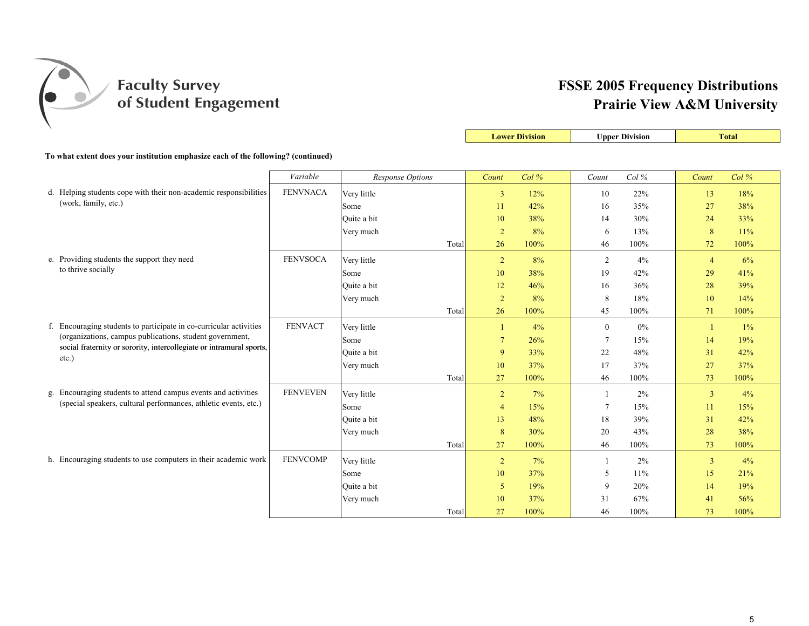

|                                                                                           |                 |                  |       |                | <b>Lower Division</b> |              | <b>Upper Division</b> |                | <b>Total</b> |
|-------------------------------------------------------------------------------------------|-----------------|------------------|-------|----------------|-----------------------|--------------|-----------------------|----------------|--------------|
| To what extent does your institution emphasize each of the following? (continued)         |                 |                  |       |                |                       |              |                       |                |              |
|                                                                                           | Variable        | Response Options |       | Count          | Col%                  | Count        | Col%                  | Count          | Col%         |
|                                                                                           |                 |                  |       |                |                       |              |                       |                |              |
| d. Helping students cope with their non-academic responsibilities<br>(work, family, etc.) | <b>FENVNACA</b> | Very little      |       | $\overline{3}$ | 12%                   | 10           | 22%                   | 13             | 18%          |
|                                                                                           |                 | Some             |       | 11             | 42%                   | 16           | 35%                   | 27             | 38%          |
|                                                                                           |                 | Ouite a bit      |       | 10             | 38%                   | 14           | 30%                   | 24             | 33%          |
|                                                                                           |                 | Very much        |       | $\overline{2}$ | 8%                    | 6            | 13%                   | 8              | 11%          |
|                                                                                           |                 |                  | Total | 26             | 100%                  | 46           | 100%                  | 72             | 100%         |
| e. Providing students the support they need                                               | <b>FENVSOCA</b> | Very little      |       | $\overline{2}$ | 8%                    | 2            | 4%                    | $\overline{4}$ | 6%           |
| to thrive socially                                                                        |                 | Some             |       | 10             | 38%                   | 19           | 42%                   | 29             | 41%          |
|                                                                                           |                 | Ouite a bit      |       | 12             | 46%                   | 16           | 36%                   | 28             | 39%          |
|                                                                                           |                 | Very much        |       | $\overline{2}$ | 8%                    | 8            | 18%                   | 10             | 14%          |
|                                                                                           |                 |                  | Total | 26             | 100%                  | 45           | 100%                  | 71             | 100%         |
| f. Encouraging students to participate in co-curricular activities                        | <b>FENVACT</b>  | Very little      |       | $\mathbf{1}$   | 4%                    | $\mathbf{0}$ | 0%                    | $\mathbf{1}$   | 1%           |
| (organizations, campus publications, student government,                                  |                 | Some             |       | $\overline{7}$ | 26%                   | 7            | 15%                   | 14             | 19%          |
| social fraternity or sorority, intercollegiate or intramural sports,                      |                 | Ouite a bit      |       | 9              | 33%                   | 22           | 48%                   | 31             | 42%          |
| $etc.$ )                                                                                  |                 | Very much        |       | 10             | 37%                   | 17           | 37%                   | 27             | 37%          |
|                                                                                           |                 |                  | Total | 27             | 100%                  | 46           | 100%                  | 73             | 100%         |
| g. Encouraging students to attend campus events and activities                            | <b>FENVEVEN</b> | Very little      |       | $\overline{2}$ | 7%                    | -1           | 2%                    | $\overline{3}$ | 4%           |
| (special speakers, cultural performances, athletic events, etc.)                          |                 | Some             |       | $\overline{4}$ | 15%                   | 7            | 15%                   | 11             | 15%          |
|                                                                                           |                 | Ouite a bit      |       | 13             | 48%                   | 18           | 39%                   | 31             | 42%          |
|                                                                                           |                 | Very much        |       | 8              | 30%                   | 20           | 43%                   | 28             | 38%          |
|                                                                                           |                 |                  | Total | 27             | 100%                  | 46           | 100%                  | 73             | 100%         |
| h. Encouraging students to use computers in their academic work                           | <b>FENVCOMP</b> | Very little      |       | $\overline{2}$ | 7%                    | -1           | 2%                    | $\mathbf{3}$   | 4%           |
|                                                                                           |                 | Some             |       | 10             | 37%                   | 5            | 11%                   | 15             | 21%          |
|                                                                                           |                 | Ouite a bit      |       | 5              | 19%                   | 9            | 20%                   | 14             | 19%          |
|                                                                                           |                 | Very much        |       | 10             | 37%                   | 31           | 67%                   | 41             | 56%          |
|                                                                                           |                 |                  | Total | 27             | 100%                  | 46           | 100%                  | 73             | 100%         |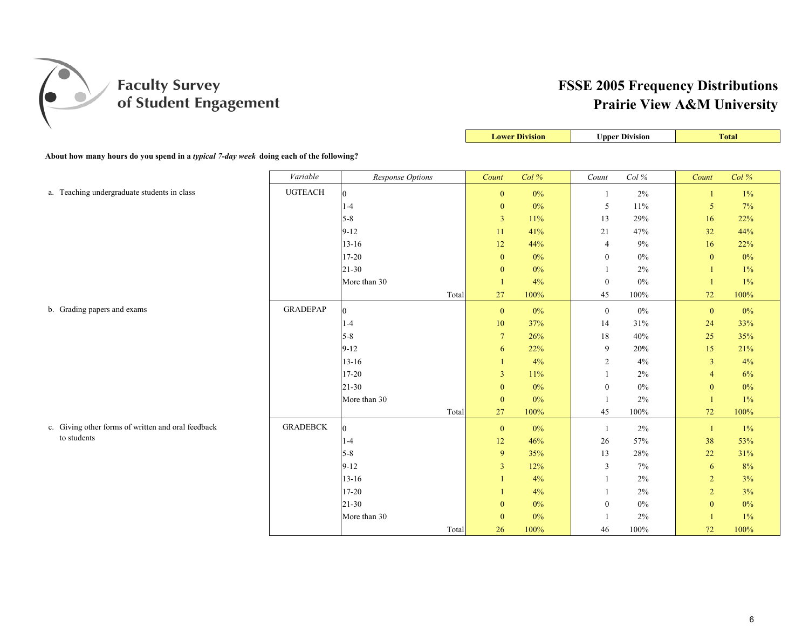

| $\lambda$                                                                              |                 |                  |       |                  | <b>Lower Division</b> |                  | <b>Upper Division</b> |                | <b>Total</b> |
|----------------------------------------------------------------------------------------|-----------------|------------------|-------|------------------|-----------------------|------------------|-----------------------|----------------|--------------|
| About how many hours do you spend in a typical 7-day week doing each of the following? |                 |                  |       |                  |                       |                  |                       |                |              |
|                                                                                        |                 |                  |       |                  |                       |                  |                       |                |              |
|                                                                                        | Variable        | Response Options |       | Count            | Col %                 | Count            | Col $\%$              | Count          | Col%         |
| a. Teaching undergraduate students in class                                            | <b>UGTEACH</b>  | $\overline{0}$   |       | $\boldsymbol{0}$ | $0\%$                 | $\mathbf{1}$     | $2\%$                 | -1             | $1\%$        |
|                                                                                        |                 | $1-4$            |       | $\boldsymbol{0}$ | $0\%$                 | 5                | 11%                   | 5              | 7%           |
|                                                                                        |                 | $5 - 8$          |       | $\overline{3}$   | 11%                   | 13               | 29%                   | 16             | 22%          |
|                                                                                        |                 | $9 - 12$         |       | 11               | 41%                   | 21               | 47%                   | 32             | 44%          |
|                                                                                        |                 | $13 - 16$        |       | 12               | 44%                   | $\overline{4}$   | $9\%$                 | 16             | 22%          |
|                                                                                        |                 | 17-20            |       | $\boldsymbol{0}$ | $0\%$                 | $\boldsymbol{0}$ | $0\%$                 | $\mathbf{0}$   | $0\%$        |
|                                                                                        |                 | $21-30$          |       | $\mathbf{0}$     | $0\%$                 | 1                | 2%                    | $\overline{1}$ | $1\%$        |
|                                                                                        |                 | More than 30     |       | $\mathbf{1}$     | 4%                    | $\boldsymbol{0}$ | $0\%$                 |                | $1\%$        |
|                                                                                        |                 |                  | Total | 27               | 100%                  | 45               | 100%                  | 72             | 100%         |
| b. Grading papers and exams                                                            | <b>GRADEPAP</b> | $\overline{0}$   |       | $\bf{0}$         | 0%                    | $\mathbf{0}$     | $0\%$                 | $\mathbf{0}$   | $0\%$        |
|                                                                                        |                 | $1-4$            |       | 10               | 37%                   | 14               | 31%                   | 24             | 33%          |
|                                                                                        |                 | $5-8$            |       | $7\phantom{.0}$  | 26%                   | 18               | 40%                   | 25             | 35%          |
|                                                                                        |                 | $9-12$           |       | 6                | 22%                   | 9                | 20%                   | 15             | 21%          |
|                                                                                        |                 | $13 - 16$        |       |                  | 4%                    | 2                | 4%                    | $\overline{3}$ | 4%           |
|                                                                                        |                 | $17 - 20$        |       | 3                | 11%                   | $\mathbf{1}$     | $2\%$                 | $\overline{4}$ | 6%           |
|                                                                                        |                 | $21 - 30$        |       | $\boldsymbol{0}$ | $0\%$                 | $\boldsymbol{0}$ | $0\%$                 | $\mathbf{0}$   | $0\%$        |
|                                                                                        |                 | More than 30     |       | $\boldsymbol{0}$ | $0\%$                 | 1                | 2%                    | -1             | $1\%$        |
|                                                                                        |                 |                  | Total | 27               | 100%                  | $45\,$           | 100%                  | $72\,$         | 100%         |
| c. Giving other forms of written and oral feedback                                     | <b>GRADEBCK</b> | $\overline{0}$   |       | $\mathbf{0}$     | $0\%$                 | 1                | $2\%$                 | $\mathbf{1}$   | $1\%$        |
| to students                                                                            |                 | $1-4$            |       | 12               | 46%                   | 26               | 57%                   | 38             | 53%          |
|                                                                                        |                 | $5 - 8$          |       | 9                | 35%                   | 13               | $28\%$                | 22             | 31%          |
|                                                                                        |                 | $9 - 12$         |       | 3                | 12%                   | 3                | 7%                    | 6              | $8\%$        |
|                                                                                        |                 | $13 - 16$        |       |                  | 4%                    | 1                | 2%                    | $\overline{2}$ | 3%           |
|                                                                                        |                 | $17 - 20$        |       |                  | 4%                    | 1                | 2%                    | $\sqrt{2}$     | 3%           |
|                                                                                        |                 | $21 - 30$        |       | $\Omega$         | $0\%$                 | $\mathbf{0}$     | $0\%$                 | $\mathbf{0}$   | $0\%$        |
|                                                                                        |                 | More than 30     |       | $\bf{0}$         | 0%                    |                  | 2%                    |                | $1\%$        |
|                                                                                        |                 |                  | Total | 26               | 100%                  | 46               | 100%                  | 72             | 100%         |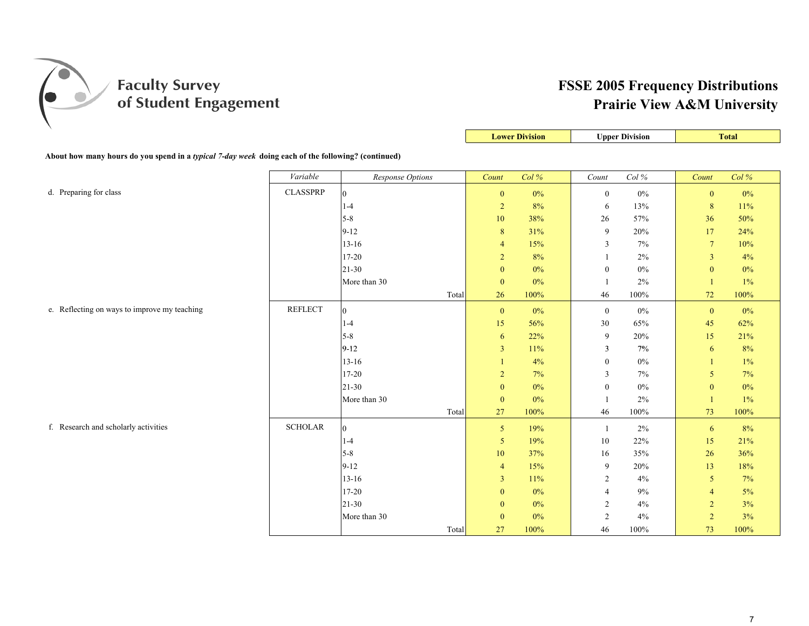

|                                                                                                    |                 |                  |       |                | <b>Lower Division</b> |                  | <b>Upper Division</b> |                 | <b>Total</b> |
|----------------------------------------------------------------------------------------------------|-----------------|------------------|-------|----------------|-----------------------|------------------|-----------------------|-----------------|--------------|
| About how many hours do you spend in a typical 7-day week doing each of the following? (continued) |                 |                  |       |                |                       |                  |                       |                 |              |
|                                                                                                    |                 |                  |       |                |                       |                  |                       |                 |              |
|                                                                                                    | Variable        | Response Options |       | Count          | Col %                 | Count            | Col %                 | Count           | Col %        |
| d. Preparing for class                                                                             | <b>CLASSPRP</b> | $\overline{0}$   |       | $\mathbf{0}$   | $0\%$                 | $\mathbf{0}$     | $0\%$                 | $\mathbf{0}$    | $0\%$        |
|                                                                                                    |                 | $1 - 4$          |       | $\overline{2}$ | 8%                    | 6                | 13%                   | 8               | 11%          |
|                                                                                                    |                 | $5-8$            |       | 10             | 38%                   | 26               | 57%                   | 36              | 50%          |
|                                                                                                    |                 | $9 - 12$         |       | $\,8\,$        | 31%                   | 9                | 20%                   | 17              | 24%          |
|                                                                                                    |                 | $13 - 16$        |       | $\overline{4}$ | 15%                   | 3                | 7%                    | $7\phantom{.0}$ | 10%          |
|                                                                                                    |                 | $17 - 20$        |       | $\overline{2}$ | 8%                    | 1                | $2\%$                 | $\overline{3}$  | 4%           |
|                                                                                                    |                 | $21 - 30$        |       | $\mathbf{0}$   | $0\%$                 | $\mathbf{0}$     | $0\%$                 | $\overline{0}$  | $0\%$        |
|                                                                                                    |                 | More than 30     |       | $\mathbf{0}$   | $0\%$                 |                  | 2%                    | $\mathbf{1}$    | 1%           |
|                                                                                                    |                 |                  | Total | 26             | 100%                  | 46               | $100\%$               | 72              | 100%         |
| e. Reflecting on ways to improve my teaching                                                       | <b>REFLECT</b>  | $\overline{0}$   |       | $\mathbf{0}$   | $0\%$                 | $\mathbf{0}$     | $0\%$                 | $\mathbf{0}$    | $0\%$        |
|                                                                                                    |                 | $1-4$            |       | 15             | 56%                   | 30               | 65%                   | 45              | 62%          |
|                                                                                                    |                 | $5 - 8$          |       | 6              | 22%                   | $\overline{9}$   | 20%                   | 15              | 21%          |
|                                                                                                    |                 | $9-12$           |       | $\overline{3}$ | 11%                   | 3                | 7%                    | 6               | 8%           |
|                                                                                                    |                 | $13-16$          |       | $\mathbf{1}$   | 4%                    | $\mathbf{0}$     | $0\%$                 | $\mathbf{1}$    | $1\%$        |
|                                                                                                    |                 | $17 - 20$        |       | $\overline{c}$ | 7%                    | 3                | 7%                    | 5               | 7%           |
|                                                                                                    |                 | $21 - 30$        |       | $\mathbf{0}$   | $0\%$                 | $\boldsymbol{0}$ | $0\%$                 | $\mathbf{0}$    | $0\%$        |
|                                                                                                    |                 | More than 30     |       | $\mathbf{0}$   | $0\%$                 |                  | $2\%$                 | $\mathbf{1}$    | $1\%$        |
|                                                                                                    |                 |                  | Total | 27             | 100%                  | 46               | $100\%$               | 73              | 100%         |
| f. Research and scholarly activities                                                               | <b>SCHOLAR</b>  | $\overline{0}$   |       | 5 <sup>5</sup> | 19%                   | $\overline{1}$   | 2%                    | 6               | 8%           |
|                                                                                                    |                 | $1 - 4$          |       | 5              | 19%                   | 10               | 22%                   | 15              | 21%          |
|                                                                                                    |                 | $5 - 8$          |       | $10\,$         | 37%                   | 16               | 35%                   | 26              | 36%          |
|                                                                                                    |                 | $9 - 12$         |       | $\overline{4}$ | 15%                   | 9                | 20%                   | 13              | 18%          |
|                                                                                                    |                 | $13-16$          |       | 3              | 11%                   | $\overline{2}$   | 4%                    | $\mathfrak{S}$  | 7%           |
|                                                                                                    |                 | $17 - 20$        |       | $\mathbf{0}$   | $0\%$                 | $\overline{4}$   | 9%                    | $\overline{4}$  | 5%           |
|                                                                                                    |                 | $21 - 30$        |       | $\mathbf{0}$   | $0\%$                 | 2                | 4%                    | $\overline{c}$  | 3%           |
|                                                                                                    |                 | More than 30     |       | $\mathbf{0}$   | 0%                    | 2                | 4%                    | $\overline{2}$  | 3%           |
|                                                                                                    |                 |                  | Total | 27             | 100%                  | 46               | 100%                  | 73              | 100%         |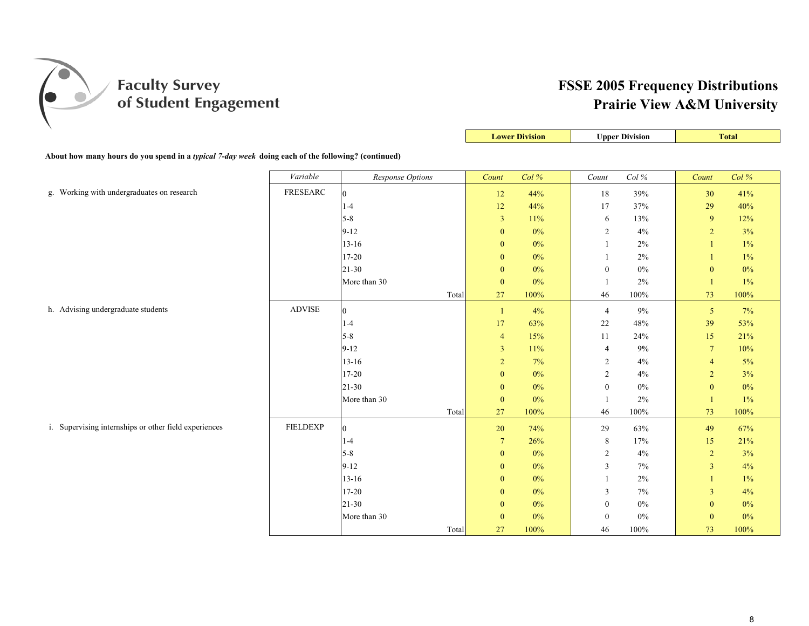

|                                                                                                           |                 |                  |                  | <b>Lower Division</b> |                  | <b>Upper Division</b> |                         | <b>Total</b> |
|-----------------------------------------------------------------------------------------------------------|-----------------|------------------|------------------|-----------------------|------------------|-----------------------|-------------------------|--------------|
| About how many hours do you spend in a <i>typical 7-day week</i> doing each of the following? (continued) |                 |                  |                  |                       |                  |                       |                         |              |
|                                                                                                           | Variable        | Response Options | Count            | Col%                  | $Count$          | Col $\%$              | Count                   | Col %        |
| g. Working with undergraduates on research                                                                | FRESEARC        | $\vert$ 0        | 12               | 44%                   | 18               | 39%                   | 30                      | 41%          |
|                                                                                                           |                 | $1-4$            | 12               | 44%                   | 17               | 37%                   | 29                      | 40%          |
|                                                                                                           |                 | $5-8$            | $\mathfrak{Z}$   | 11%                   | 6                | 13%                   | $\overline{9}$          | 12%          |
|                                                                                                           |                 | $9 - 12$         | $\boldsymbol{0}$ | $0\%$                 | $\overline{c}$   | 4%                    | $\sqrt{2}$              | 3%           |
|                                                                                                           |                 | $13 - 16$        | $\bf{0}$         | $0\%$                 | $\mathbf{1}$     | $2\%$                 |                         | $1\%$        |
|                                                                                                           |                 | $17 - 20$        | $\bf{0}$         | $0\%$                 | 1                | 2%                    |                         | $1\%$        |
|                                                                                                           |                 | 21-30            | $\bf{0}$         | $0\%$                 | $\boldsymbol{0}$ | $0\%$                 | $\mathbf{0}$            | $0\%$        |
|                                                                                                           |                 | More than 30     | $\boldsymbol{0}$ | 0%                    | 1                | 2%                    | $\vert$                 | $1\%$        |
|                                                                                                           |                 | Total            | 27               | 100%                  | 46               | 100%                  | 73                      | 100%         |
| h. Advising undergraduate students                                                                        | <b>ADVISE</b>   | $\overline{0}$   | $\mathbf{1}$     | 4%                    | $\overline{4}$   | $9\%$                 | $\overline{5}$          | 7%           |
|                                                                                                           |                 | $1 - 4$          | 17               | 63%                   | 22               | $48\%$                | 39                      | 53%          |
|                                                                                                           |                 | $5 - 8$          | $\overline{4}$   | 15%                   | 11               | 24%                   | 15                      | 21%          |
|                                                                                                           |                 | $9-12$           | $\overline{3}$   | 11%                   | $\overline{4}$   | $9\%$                 | $7\phantom{.0}$         | 10%          |
|                                                                                                           |                 | $13 - 16$        | $\overline{2}$   | 7%                    | $\overline{c}$   | 4%                    | $\overline{4}$          | $5\%$        |
|                                                                                                           |                 | $17 - 20$        | $\mathbf{0}$     | $0\%$                 | $\sqrt{2}$       | 4%                    | $\sqrt{2}$              | 3%           |
|                                                                                                           |                 | $21 - 30$        | $\boldsymbol{0}$ | $0\%$                 | $\boldsymbol{0}$ | $0\%$                 | $\boldsymbol{0}$        | $0\%$        |
|                                                                                                           |                 | More than 30     | $\boldsymbol{0}$ | $0\%$                 | 1                | 2%                    | $\mathbf{1}$            | $1\%$        |
|                                                                                                           |                 | Total            | 27               | 100%                  | 46               | 100%                  | 73                      | 100%         |
| i. Supervising internships or other field experiences                                                     | <b>FIELDEXP</b> | $\overline{0}$   | 20               | 74%                   | 29               | 63%                   | 49                      | 67%          |
|                                                                                                           |                 | $1-4$            | $\tau$           | 26%                   | $\,8\,$          | 17%                   | 15                      | 21%          |
|                                                                                                           |                 | $5 - 8$          | $\boldsymbol{0}$ | $0\%$                 | $\overline{c}$   | 4%                    | $\sqrt{2}$              | 3%           |
|                                                                                                           |                 | $9 - 12$         | $\mathbf{0}$     | 0%                    | 3                | 7%                    | $\overline{3}$          | 4%           |
|                                                                                                           |                 | $13 - 16$        | $\mathbf{0}$     | $0\%$                 | $\mathbf{1}$     | 2%                    |                         | $1\%$        |
|                                                                                                           |                 | $17 - 20$        | $\mathbf{0}$     | $0\%$                 | 3                | 7%                    | $\overline{\mathbf{3}}$ | 4%           |
|                                                                                                           |                 | $21 - 30$        | $\bf{0}$         | 0%                    | $\boldsymbol{0}$ | $0\%$                 | $\mathbf{0}$            | $0\%$        |
|                                                                                                           |                 | More than 30     | $\mathbf{0}$     | $0\%$                 | $\boldsymbol{0}$ | $0\%$                 | $\mathbf{0}$            | $0\%$        |
|                                                                                                           |                 | Total            | 27               | 100%                  | 46               | 100%                  | 73                      | 100%         |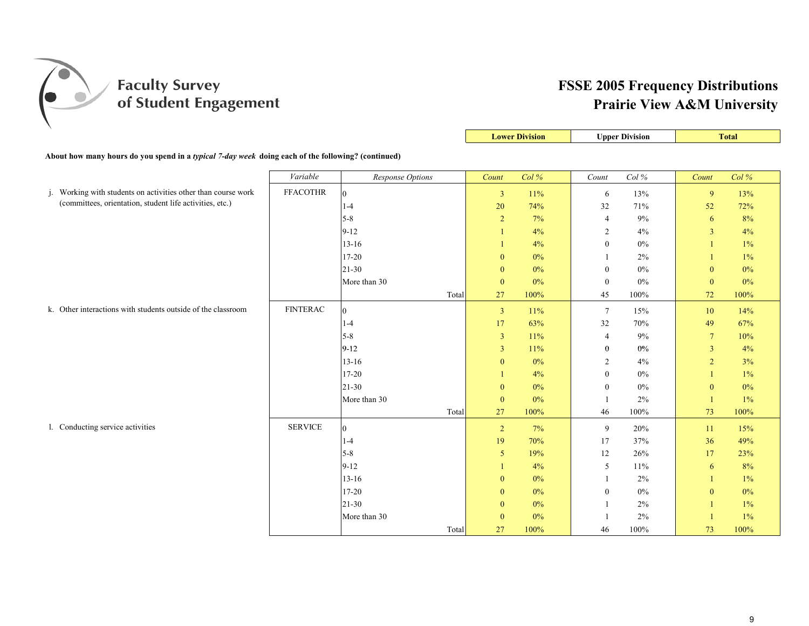

|                                                                                                                           |                 |                  | <b>Lower Division</b> |       |                  | <b>Upper Division</b> |                 | <b>Total</b> |
|---------------------------------------------------------------------------------------------------------------------------|-----------------|------------------|-----------------------|-------|------------------|-----------------------|-----------------|--------------|
| About how many hours do you spend in a <i>typical 7-day week</i> doing each of the following? (continued)                 |                 |                  |                       |       |                  |                       |                 |              |
|                                                                                                                           | Variable        | Response Options | Count                 | Col%  | Count            | Col $\%$              | Count           | Col %        |
|                                                                                                                           |                 |                  |                       |       |                  |                       |                 |              |
| j. Working with students on activities other than course work<br>(committees, orientation, student life activities, etc.) | <b>FFACOTHR</b> | $\overline{0}$   | $\mathbf{3}$          | 11%   | 6                | 13%                   | 9               | 13%          |
|                                                                                                                           |                 | $1-4$            | 20                    | 74%   | 32               | 71%                   | 52              | 72%          |
|                                                                                                                           |                 | $5 - 8$          | $\overline{2}$        | 7%    | $\overline{4}$   | 9%                    | 6               | 8%           |
|                                                                                                                           |                 | $9 - 12$         |                       | 4%    | 2                | 4%                    | $\overline{3}$  | 4%           |
|                                                                                                                           |                 | $13 - 16$        |                       | 4%    | $\boldsymbol{0}$ | 0%                    |                 | $1\%$        |
|                                                                                                                           |                 | $17 - 20$        | $\Omega$              | $0\%$ |                  | 2%                    |                 | $1\%$        |
|                                                                                                                           |                 | $21 - 30$        | $\boldsymbol{0}$      | $0\%$ | $\boldsymbol{0}$ | $0\%$                 | $\mathbf{0}$    | $0\%$        |
|                                                                                                                           |                 | More than 30     | $\boldsymbol{0}$      | $0\%$ | $\mathbf{0}$     | 0%                    | $\mathbf{0}$    | 0%           |
|                                                                                                                           |                 | Total            | 27                    | 100%  | 45               | 100%                  | 72              | 100%         |
| k. Other interactions with students outside of the classroom                                                              | <b>FINTERAC</b> | $\theta$         | $\mathbf{3}$          | 11%   | $\tau$           | 15%                   | 10              | 14%          |
|                                                                                                                           |                 | $1-4$            | 17                    | 63%   | 32               | 70%                   | 49              | 67%          |
|                                                                                                                           |                 | $5 - 8$          | $\overline{3}$        | 11%   | $\overline{4}$   | 9%                    | $7\phantom{.0}$ | 10%          |
|                                                                                                                           |                 | $9 - 12$         | 3                     | 11%   | $\bf{0}$         | $0\%$                 | 3               | 4%           |
|                                                                                                                           |                 | $13 - 16$        | $\mathbf{0}$          | $0\%$ | $\overline{2}$   | 4%                    | $\overline{2}$  | 3%           |
|                                                                                                                           |                 | $17 - 20$        |                       | 4%    | $\boldsymbol{0}$ | $0\%$                 |                 | $1\%$        |
|                                                                                                                           |                 | $21 - 30$        | $\mathbf{0}$          | $0\%$ | $\mathbf{0}$     | 0%                    | $\mathbf{0}$    | $0\%$        |
|                                                                                                                           |                 | More than 30     | $\mathbf{0}$          | $0\%$ | -1               | 2%                    |                 | 1%           |
|                                                                                                                           |                 | Total            | 27                    | 100%  | 46               | 100%                  | $73\,$          | 100%         |
| 1. Conducting service activities                                                                                          | <b>SERVICE</b>  | $\overline{0}$   | $\overline{2}$        | $7\%$ | 9                | 20%                   | 11              | 15%          |
|                                                                                                                           |                 | $1-4$            | 19                    | 70%   | 17               | 37%                   | 36              | 49%          |
|                                                                                                                           |                 | $5 - 8$          | 5                     | 19%   | 12               | 26%                   | 17              | 23%          |
|                                                                                                                           |                 | $9 - 12$         |                       | 4%    | 5                | 11%                   | 6               | 8%           |
|                                                                                                                           |                 | $13 - 16$        | $\mathbf{0}$          | $0\%$ |                  | 2%                    |                 | $1\%$        |
|                                                                                                                           |                 | $17 - 20$        | $\bf{0}$              | $0\%$ | $\mathbf{0}$     | $0\%$                 | $\mathbf{0}$    | $0\%$        |
|                                                                                                                           |                 | $21 - 30$        | $\mathbf{0}$          | $0\%$ |                  | 2%                    |                 | $1\%$        |
|                                                                                                                           |                 | More than 30     | $\mathbf{0}$          | $0\%$ |                  | 2%                    |                 | $1\%$        |
|                                                                                                                           |                 | Total            | 27                    | 100%  | 46               | 100%                  | 73              | 100%         |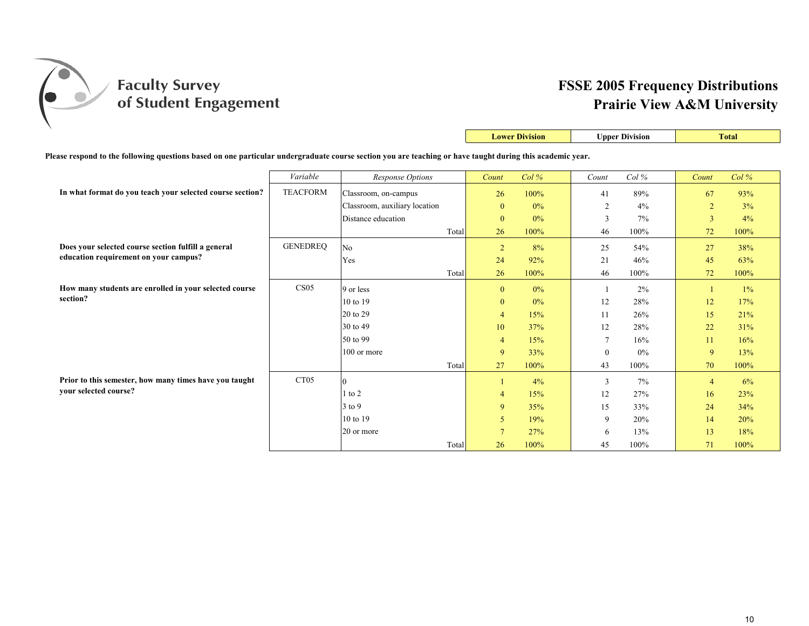

|                                                                                                                                                           |                  |                               |       |                 | <b>Lower Division</b> | <b>Upper Division</b> |       |                | <b>Total</b> |
|-----------------------------------------------------------------------------------------------------------------------------------------------------------|------------------|-------------------------------|-------|-----------------|-----------------------|-----------------------|-------|----------------|--------------|
| Please respond to the following questions based on one particular undergraduate course section you are teaching or have taught during this academic year. |                  |                               |       |                 |                       |                       |       |                |              |
|                                                                                                                                                           | Variable         | <b>Response Options</b>       |       | Count           | $Col\%$               | Count                 | Col%  | Count          | Col%         |
| In what format do you teach your selected course section?                                                                                                 | <b>TEACFORM</b>  | Classroom, on-campus          |       | 26              | 100%                  | 41                    | 89%   | 67             | 93%          |
|                                                                                                                                                           |                  | Classroom, auxiliary location |       | $\mathbf{0}$    | $0\%$                 | $\overline{2}$        | 4%    | $\overline{2}$ | 3%           |
|                                                                                                                                                           |                  | Distance education            |       | $\mathbf{0}$    | $0\%$                 | 3                     | 7%    | $\overline{3}$ | 4%           |
|                                                                                                                                                           |                  |                               | Total | 26              | 100%                  | 46                    | 100%  | 72             | 100%         |
| Does your selected course section fulfill a general                                                                                                       | <b>GENEDREO</b>  | N <sub>o</sub>                |       | $\overline{2}$  | 8%                    | 25                    | 54%   | 27             | 38%          |
| education requirement on your campus?                                                                                                                     |                  | Yes                           |       | 24              | 92%                   | 21                    | 46%   | 45             | 63%          |
|                                                                                                                                                           |                  |                               | Total | 26              | 100%                  | 46                    | 100%  | 72             | 100%         |
| How many students are enrolled in your selected course                                                                                                    | CS <sub>05</sub> | 9 or less                     |       | $\mathbf{0}$    | $0\%$                 |                       | 2%    |                | $1\%$        |
| section?                                                                                                                                                  |                  | 10 to 19                      |       | $\mathbf{0}$    | $0\%$                 | 12                    | 28%   | 12             | 17%          |
|                                                                                                                                                           |                  | 20 to 29                      |       | $\overline{4}$  | 15%                   | 11                    | 26%   | 15             | 21%          |
|                                                                                                                                                           |                  | 30 to 49                      |       | 10              | 37%                   | 12                    | 28%   | 22             | 31%          |
|                                                                                                                                                           |                  | 50 to 99                      |       | $\overline{4}$  | 15%                   | 7                     | 16%   | 11             | 16%          |
|                                                                                                                                                           |                  | 100 or more                   |       | 9               | 33%                   | $\mathbf{0}$          | 0%    | 9              | 13%          |
|                                                                                                                                                           |                  |                               | Total | 27              | 100%                  | 43                    | 100%  | 70             | 100%         |
| Prior to this semester, how many times have you taught                                                                                                    | CT <sub>05</sub> | $\Omega$                      |       |                 | 4%                    | 3                     | $7\%$ | $\overline{4}$ | 6%           |
| your selected course?                                                                                                                                     |                  | $1$ to $2$                    |       | $\overline{4}$  | 15%                   | 12                    | 27%   | 16             | 23%          |
|                                                                                                                                                           |                  | $3$ to 9                      |       | 9               | 35%                   | 15                    | 33%   | 24             | 34%          |
|                                                                                                                                                           |                  | 10 to 19                      |       | 5               | 19%                   | 9                     | 20%   | 14             | 20%          |
|                                                                                                                                                           |                  | 20 or more                    |       | $7\phantom{.0}$ | 27%                   | 6                     | 13%   | 13             | 18%          |
|                                                                                                                                                           |                  |                               | Total | 26              | 100%                  | 45                    | 100%  | 71             | 100%         |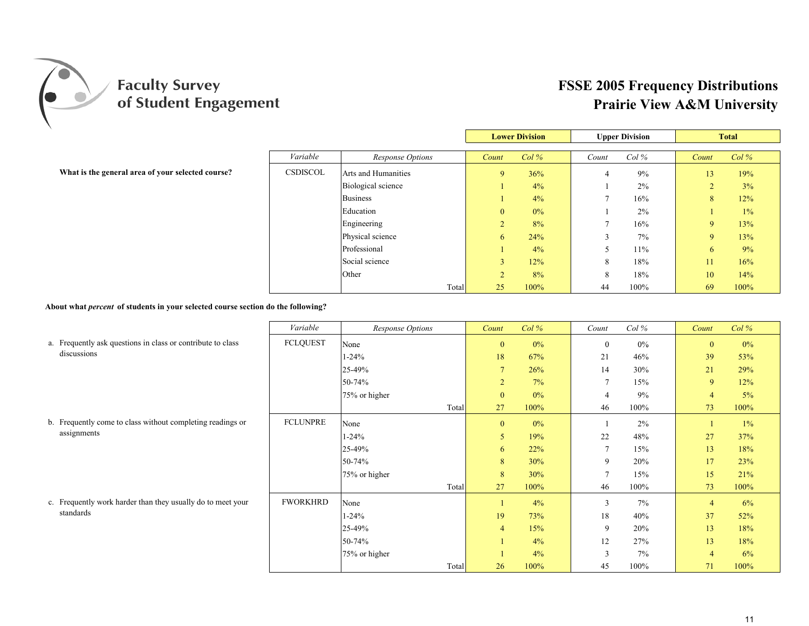

|                                                   |                 |                     | <b>Lower Division</b> |       | <b>Upper Division</b> |      |              | <b>Total</b> |
|---------------------------------------------------|-----------------|---------------------|-----------------------|-------|-----------------------|------|--------------|--------------|
|                                                   | Variable        | Response Options    | Count                 | Col%  | Count                 | Col% | Count        | $Col\%$      |
| What is the general area of your selected course? | <b>CSDISCOL</b> | Arts and Humanities | 9                     | 36%   |                       | 9%   | 13           | 19%          |
|                                                   |                 | Biological science  |                       | 4%    |                       | 2%   | ∠            | 3%           |
|                                                   |                 | <b>Business</b>     |                       | 4%    |                       | 16%  | 8            | 12%          |
|                                                   |                 | Education           | $\overline{0}$        | $0\%$ |                       | 2%   |              | 1%           |
|                                                   |                 | Engineering         | ∠                     | 8%    |                       | 16%  | 9            | 13%          |
|                                                   |                 | Physical science    | 6                     | 24%   |                       | 7%   | $\mathbf{Q}$ | 13%          |
|                                                   |                 | Professional        |                       | $4\%$ |                       | 11%  | 6            | 9%           |
|                                                   |                 | Social science      |                       | 12%   | 8                     | 18%  | 11           | 16%          |
|                                                   |                 | Other               |                       | 8%    | 8                     | 18%  | 10           | 14%          |
|                                                   |                 | Total               | 25                    | 100%  | 44                    | 100% | 69           | 100%         |

**About what** *percent* **of students in your selected course section do the following?**

|                                                             | Variable        | <b>Response Options</b> | Count            | Col%  | Count          | $Col\%$ | Count          | Col%  |
|-------------------------------------------------------------|-----------------|-------------------------|------------------|-------|----------------|---------|----------------|-------|
| a. Frequently ask questions in class or contribute to class | <b>FCLQUEST</b> | None                    | $\boldsymbol{0}$ | 0%    | $\mathbf{0}$   | 0%      | $\mathbf{0}$   | $0\%$ |
| discussions                                                 |                 | $1 - 24%$               | 18               | 67%   | 21             | 46%     | 39             | 53%   |
|                                                             |                 | 25-49%                  | $\overline{7}$   | 26%   | 14             | 30%     | 21             | 29%   |
|                                                             |                 | 50-74%                  | $\overline{2}$   | 7%    | $\overline{7}$ | 15%     | 9              | 12%   |
|                                                             |                 | 75% or higher           | $\mathbf{0}$     | $0\%$ | $\overline{4}$ | 9%      | $\overline{4}$ | 5%    |
|                                                             |                 | Total                   | 27               | 100%  | 46             | 100%    | 73             | 100%  |
| b. Frequently come to class without completing readings or  | <b>FCLUNPRE</b> | None                    | $\mathbf{0}$     | $0\%$ |                | 2%      |                | $1\%$ |
| assignments                                                 |                 | $1 - 24%$               | 5                | 19%   | 22             | 48%     | 27             | 37%   |
|                                                             |                 | 25-49%                  | 6                | 22%   |                | 15%     | 13             | 18%   |
|                                                             |                 | 50-74%                  | 8                | 30%   | 9              | 20%     | 17             | 23%   |
|                                                             |                 | 75% or higher           | 8                | 30%   |                | 15%     | 15             | 21%   |
|                                                             |                 | Total                   | 27               | 100%  | 46             | 100%    | 73             | 100%  |
| c. Frequently work harder than they usually do to meet your | <b>FWORKHRD</b> | None                    |                  | 4%    | 3              | 7%      | $\overline{4}$ | 6%    |
| standards                                                   |                 | $1 - 24%$               | 19               | 73%   | 18             | 40%     | 37             | 52%   |
|                                                             |                 | 25-49%                  | $\overline{4}$   | 15%   | 9              | 20%     | 13             | 18%   |
|                                                             |                 | 50-74%                  |                  | 4%    | 12             | 27%     | 13             | 18%   |
|                                                             |                 | 75% or higher           |                  | 4%    | 3              | 7%      | $\overline{4}$ | 6%    |
|                                                             |                 | Total                   | 26               | 100%  | 45             | 100%    | 71             | 100%  |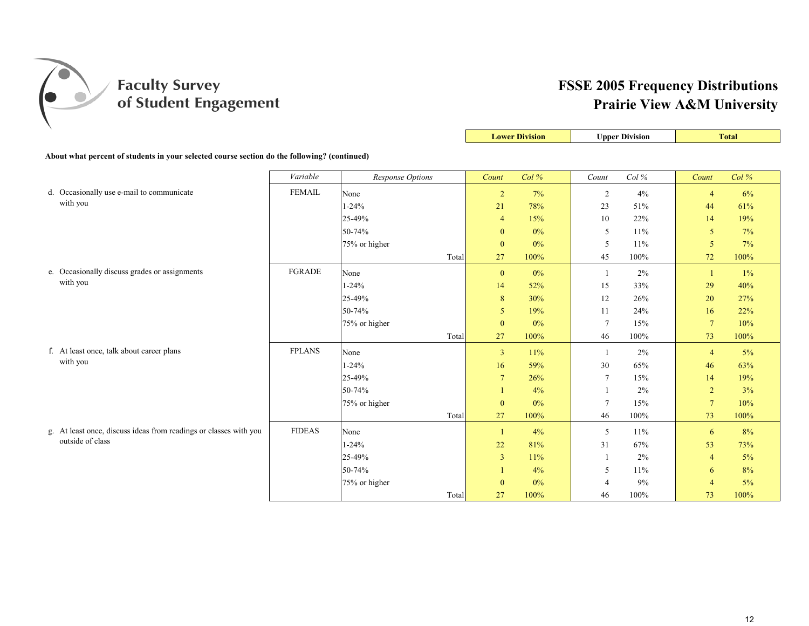

**Lower Division Upper Division Total** 

| About what percent of students in your selected course section do the following? (continued) |               |                         |                |       |                 |      |                 |       |  |
|----------------------------------------------------------------------------------------------|---------------|-------------------------|----------------|-------|-----------------|------|-----------------|-------|--|
|                                                                                              | Variable      | <b>Response Options</b> | Count          | Col%  | Count           | Col% | Count           | Col%  |  |
| d. Occasionally use e-mail to communicate                                                    | <b>FEMAIL</b> | None                    | $\overline{2}$ | 7%    | 2               | 4%   | $\overline{4}$  | 6%    |  |
| with you                                                                                     |               | $1 - 24%$               | 21             | 78%   | 23              | 51%  | 44              | 61%   |  |
|                                                                                              |               | 25-49%                  | $\overline{4}$ | 15%   | 10              | 22%  | 14              | 19%   |  |
|                                                                                              |               | 50-74%                  | $\mathbf{0}$   | $0\%$ | 5               | 11%  | 5               | 7%    |  |
|                                                                                              |               | 75% or higher           | $\mathbf{0}$   | $0\%$ | 5               | 11%  | 5               | 7%    |  |
|                                                                                              |               | Total                   | 27             | 100%  | 45              | 100% | 72              | 100%  |  |
| e. Occasionally discuss grades or assignments                                                | <b>FGRADE</b> | None                    | $\bf{0}$       | $0\%$ | $\overline{1}$  | 2%   | $\mathbf{1}$    | $1\%$ |  |
| with you                                                                                     |               | $1 - 24%$               | 14             | 52%   | 15              | 33%  | 29              | 40%   |  |
|                                                                                              |               | 25-49%                  | $8\phantom{1}$ | 30%   | 12              | 26%  | 20              | 27%   |  |
|                                                                                              |               | 50-74%                  | 5              | 19%   | 11              | 24%  | 16              | 22%   |  |
|                                                                                              |               | 75% or higher           | $\mathbf{0}$   | 0%    | $\tau$          | 15%  | $7\overline{ }$ | 10%   |  |
|                                                                                              |               | Total                   | 27             | 100%  | 46              | 100% | 73              | 100%  |  |
| f. At least once, talk about career plans                                                    | <b>FPLANS</b> | None                    | $\overline{3}$ | 11%   | -1              | 2%   | $\overline{4}$  | 5%    |  |
| with you                                                                                     |               | $1 - 24%$               | 16             | 59%   | 30              | 65%  | 46              | 63%   |  |
|                                                                                              |               | 25-49%                  | $\overline{7}$ | 26%   | $\overline{7}$  | 15%  | 14              | 19%   |  |
|                                                                                              |               | 50-74%                  |                | 4%    |                 | 2%   | $\overline{2}$  | 3%    |  |
|                                                                                              |               | 75% or higher           | $\mathbf{0}$   | $0\%$ | $7\phantom{.0}$ | 15%  | $7\overline{ }$ | 10%   |  |
|                                                                                              |               | Total                   | 27             | 100%  | 46              | 100% | 73              | 100%  |  |
| g. At least once, discuss ideas from readings or classes with you                            | <b>FIDEAS</b> | None                    | -1             | 4%    | 5               | 11%  | 6               | 8%    |  |
| outside of class                                                                             |               | $1 - 24%$               | 22             | 81%   | 31              | 67%  | 53              | 73%   |  |
|                                                                                              |               | 25-49%                  | $\overline{3}$ | 11%   |                 | 2%   | $\overline{4}$  | 5%    |  |
|                                                                                              |               | 50-74%                  |                | 4%    | 5               | 11%  | 6               | 8%    |  |
|                                                                                              |               | 75% or higher           | $\mathbf{0}$   | $0\%$ | $\overline{4}$  | 9%   | $\overline{4}$  | 5%    |  |
|                                                                                              |               | Total                   | 27             | 100%  | 46              | 100% | 73              | 100%  |  |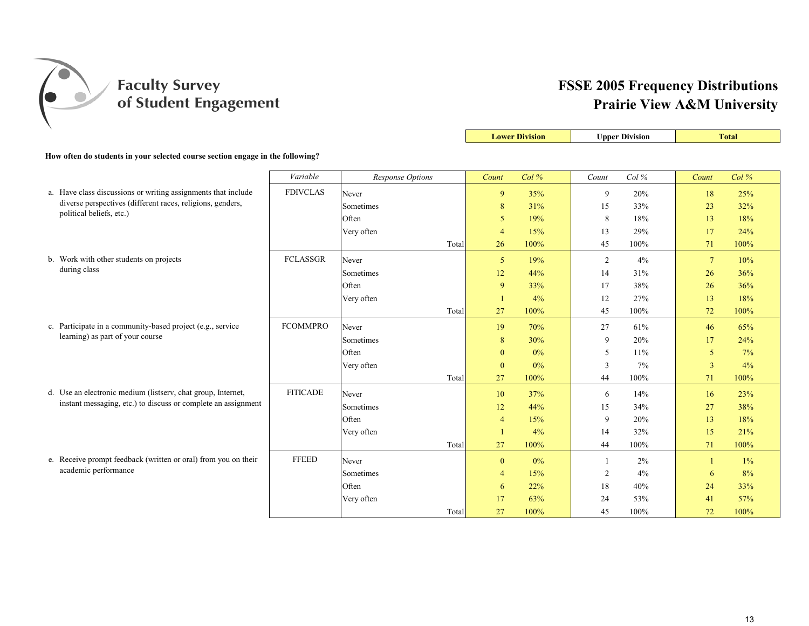

|                                                                                                                             |                 |                  |       | <b>Lower Division</b> |       |       | <b>Upper Division</b> |                 | <b>Total</b> |
|-----------------------------------------------------------------------------------------------------------------------------|-----------------|------------------|-------|-----------------------|-------|-------|-----------------------|-----------------|--------------|
| How often do students in your selected course section engage in the following?                                              |                 |                  |       |                       |       |       |                       |                 |              |
|                                                                                                                             | Variable        | Response Options |       | Count                 | Col%  | Count | Col%                  | Count           | Col%         |
|                                                                                                                             |                 |                  |       |                       |       |       |                       |                 |              |
| a. Have class discussions or writing assignments that include<br>diverse perspectives (different races, religions, genders, | <b>FDIVCLAS</b> | Never            |       | 9                     | 35%   | 9     | 20%                   | 18              | 25%          |
| political beliefs, etc.)                                                                                                    |                 | Sometimes        |       | $\bf 8$               | 31%   | 15    | 33%                   | 23              | 32%          |
|                                                                                                                             |                 | Often            |       | 5                     | 19%   | 8     | 18%                   | 13              | 18%          |
|                                                                                                                             |                 | Very often       |       | 4                     | 15%   | 13    | 29%                   | 17              | 24%          |
|                                                                                                                             |                 |                  | Total | 26                    | 100%  | 45    | 100%                  | 71              | 100%         |
| b. Work with other students on projects                                                                                     | <b>FCLASSGR</b> | Never            |       | 5                     | 19%   | 2     | 4%                    | $7\phantom{.0}$ | 10%          |
| during class                                                                                                                |                 | Sometimes        |       | 12                    | 44%   | 14    | 31%                   | 26              | 36%          |
|                                                                                                                             |                 | Often            |       | 9                     | 33%   | 17    | 38%                   | 26              | 36%          |
|                                                                                                                             |                 | Very often       |       | $\overline{1}$        | 4%    | 12    | 27%                   | 13              | 18%          |
|                                                                                                                             |                 |                  | Total | 27                    | 100%  | 45    | 100%                  | 72              | 100%         |
| c. Participate in a community-based project (e.g., service                                                                  | <b>FCOMMPRO</b> | Never            |       | 19                    | 70%   | 27    | 61%                   | 46              | 65%          |
| learning) as part of your course                                                                                            |                 | Sometimes        |       | $\bf 8$               | 30%   | 9     | 20%                   | 17              | 24%          |
|                                                                                                                             |                 | Often            |       | $\mathbf{0}$          | $0\%$ | 5     | 11%                   | 5               | 7%           |
|                                                                                                                             |                 | Very often       |       | $\mathbf{0}$          | $0\%$ | 3     | 7%                    | $\overline{3}$  | 4%           |
|                                                                                                                             |                 |                  | Total | 27                    | 100%  | 44    | 100%                  | 71              | 100%         |
| d. Use an electronic medium (listserv, chat group, Internet,                                                                | <b>FITICADE</b> | Never            |       | 10                    | 37%   | 6     | 14%                   | 16              | 23%          |
| instant messaging, etc.) to discuss or complete an assignment                                                               |                 | Sometimes        |       | 12                    | 44%   | 15    | 34%                   | 27              | 38%          |
|                                                                                                                             |                 | Often            |       | $\overline{4}$        | 15%   | 9     | 20%                   | 13              | 18%          |
|                                                                                                                             |                 | Very often       |       | $\mathbf{1}$          | 4%    | 14    | 32%                   | 15              | 21%          |
|                                                                                                                             |                 |                  | Total | 27                    | 100%  | 44    | 100%                  | 71              | 100%         |
| e. Receive prompt feedback (written or oral) from you on their                                                              | <b>FFEED</b>    | Never            |       | $\mathbf{0}$          | 0%    | -1    | 2%                    |                 | 1%           |
| academic performance                                                                                                        |                 | Sometimes        |       | 4                     | 15%   | 2     | 4%                    | 6               | 8%           |
|                                                                                                                             |                 | Often            |       | 6                     | 22%   | 18    | 40%                   | 24              | 33%          |
|                                                                                                                             |                 | Very often       |       | 17                    | 63%   | 24    | 53%                   | 41              | 57%          |
|                                                                                                                             |                 |                  | Total | 27                    | 100%  | 45    | 100%                  | 72              | 100%         |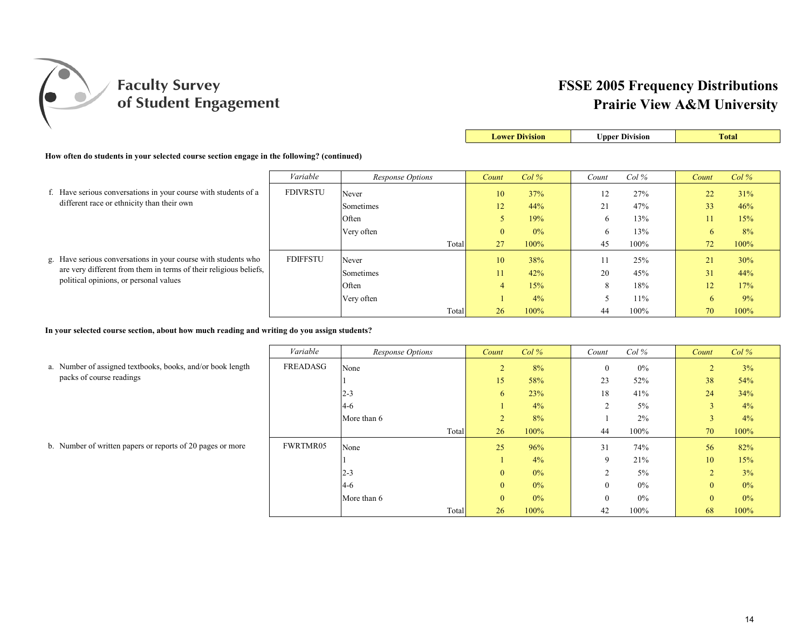

|                                                                                            |                 |                  |       |                | <b>Lower Division</b> |       | <b>Upper Division</b> |       | <b>Total</b> |  |
|--------------------------------------------------------------------------------------------|-----------------|------------------|-------|----------------|-----------------------|-------|-----------------------|-------|--------------|--|
| How often do students in your selected course section engage in the following? (continued) |                 |                  |       |                |                       |       |                       |       |              |  |
|                                                                                            | Variable        | Response Options |       | Count          | Col%                  | Count | $Col\%$               | Count | $Col\%$      |  |
| f. Have serious conversations in your course with students of a                            | <b>FDIVRSTU</b> | Never            |       | 10             | 37%                   | 12    | 27%                   | 22    | 31%          |  |
| different race or ethnicity than their own                                                 |                 | Sometimes        |       | 12             | 44%                   | 21    | 47%                   | 33    | 46%          |  |
|                                                                                            |                 | Often            |       | 5              | 19%                   | 6     | 13%                   | 11    | 15%          |  |
|                                                                                            |                 | Very often       |       | $\mathbf{0}$   | 0%                    |       | 13%                   | 6     | 8%           |  |
|                                                                                            |                 |                  | Total | 27             | 100%                  | 45    | 100%                  | 72    | 100%         |  |
| g. Have serious conversations in your course with students who                             | <b>FDIFFSTU</b> | Never            |       | 10             | 38%                   |       | 25%                   | 21    | 30%          |  |
| are very different from them in terms of their religious beliefs,                          |                 | Sometimes        |       | 11             | 42%                   | 20    | 45%                   | 31    | 44%          |  |
| political opinions, or personal values                                                     |                 | Often            |       | $\overline{4}$ | 15%                   | 8     | 18%                   | 12    | 17%          |  |
|                                                                                            |                 | Very often       |       |                | 4%                    |       | 11%                   | 6     | 9%           |  |
|                                                                                            |                 |                  | Total | 26             | 100%                  | 44    | 100%                  | 70    | 100%         |  |

**In your selected course section, about how much reading and writing do you assign students?**

|                                                            | Variable        | Response Options | Count          | Col%  | Count    | $Col\%$ | Count          | $Col\%$ |
|------------------------------------------------------------|-----------------|------------------|----------------|-------|----------|---------|----------------|---------|
| a. Number of assigned textbooks, books, and/or book length | FREADASG        | None             | $\bigcap$<br>∠ | 8%    | $\theta$ | $0\%$   | $\overline{2}$ | 3%      |
| packs of course readings                                   |                 |                  | 15             | 58%   | 23       | 52%     | 38             | 54%     |
|                                                            |                 | $2 - 3$          | 6              | 23%   | 18       | 41%     | 24             | 34%     |
|                                                            |                 | $4-6$            |                | 4%    |          | $5\%$   | 3              | 4%      |
|                                                            |                 | More than 6      | $\sim$<br>∠    | 8%    |          | 2%      | 3              | 4%      |
|                                                            |                 | Total            | 26             | 100%  | 44       | 100%    | 70             | 100%    |
| b. Number of written papers or reports of 20 pages or more | <b>FWRTMR05</b> | None             | 25             | 96%   | 31       | 74%     | 56             | 82%     |
|                                                            |                 |                  |                | 4%    | 9        | 21%     | 10             | 15%     |
|                                                            |                 | $2 - 3$          | $\overline{0}$ | 0%    |          | $5\%$   | $\overline{2}$ | 3%      |
|                                                            |                 | $4-6$            | $\mathbf{0}$   | $0\%$ | $\theta$ | 0%      | $\mathbf{0}$   | 0%      |
|                                                            |                 | More than 6      | $\overline{0}$ | 0%    | $\theta$ | $0\%$   | $\mathbf{0}$   | 0%      |
|                                                            |                 | Total            | 26             | 100%  | 42       | 100%    | 68             | 100%    |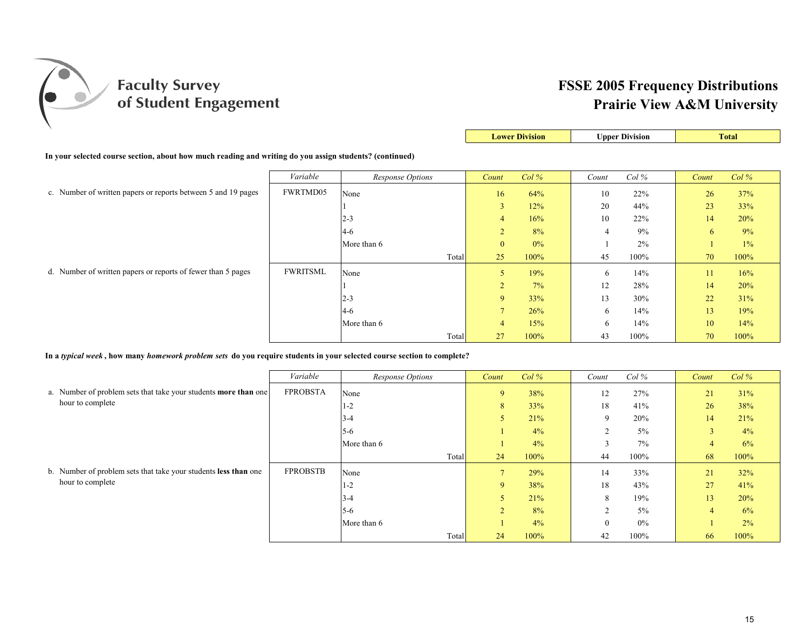

|                                                                                                         |                 |                         | <b>Lower Division</b> |       | <b>Upper Division</b> |         |       | <b>Total</b> |
|---------------------------------------------------------------------------------------------------------|-----------------|-------------------------|-----------------------|-------|-----------------------|---------|-------|--------------|
| In your selected course section, about how much reading and writing do you assign students? (continued) |                 |                         |                       |       |                       |         |       |              |
|                                                                                                         | Variable        | <b>Response Options</b> | Count                 | Col%  | Count                 | $Col\%$ | Count | Col%         |
| c. Number of written papers or reports between 5 and 19 pages                                           | FWRTMD05        | None                    | 16                    | 64%   | 10                    | 22%     | 26    | 37%          |
|                                                                                                         |                 |                         | 3                     | 12%   | 20                    | 44%     | 23    | 33%          |
|                                                                                                         |                 | $2 - 3$                 | $\overline{4}$        | 16%   | 10                    | 22%     | 14    | 20%          |
|                                                                                                         |                 | $4 - 6$                 | $\overline{2}$        | 8%    |                       | 9%      | 6     | 9%           |
|                                                                                                         |                 | More than 6             | $\mathbf{0}$          | $0\%$ |                       | 2%      |       | 1%           |
|                                                                                                         |                 | Total                   | 25                    | 100%  | 45                    | 100%    | 70    | 100%         |
| d. Number of written papers or reports of fewer than 5 pages                                            | <b>FWRITSML</b> | None                    | 5                     | 19%   | 6                     | 14%     | 11    | 16%          |
|                                                                                                         |                 |                         | $\overline{2}$        | 7%    | 12                    | 28%     | 14    | 20%          |
|                                                                                                         |                 | $2 - 3$                 | 9                     | 33%   | 13                    | 30%     | 22    | 31%          |
|                                                                                                         |                 | $4 - 6$                 | $\overline{7}$        | 26%   | 6                     | 14%     | 13    | 19%          |
|                                                                                                         |                 | More than 6             | $\overline{4}$        | 15%   | 6.                    | 14%     | 10    | 14%          |
|                                                                                                         |                 | Total                   | 27                    | 100%  | 43                    | 100%    | 70    | 100%         |

**In a** *typical week* **, how many** *homework problem sets* **do you require students in your selected course section to complete?**

|                                                                        | Variable        | Response Options | Count  | $Col\%$ | Count       | $Col\%$ | Count          | $Col\%$ |
|------------------------------------------------------------------------|-----------------|------------------|--------|---------|-------------|---------|----------------|---------|
| a. Number of problem sets that take your students <b>more than</b> one | <b>FPROBSTA</b> | None             | 9      | 38%     | 12          | 27%     | 21             | 31%     |
| hour to complete                                                       |                 | $1 - 2$          | 8      | 33%     | 18          | 41%     | 26             | 38%     |
|                                                                        |                 | $3 - 4$          |        | 21%     | $\mathbf Q$ | 20%     | 14             | 21%     |
|                                                                        |                 | $5-6$            |        | 4%      |             | $5\%$   |                | 4%      |
|                                                                        |                 | More than 6      |        | 4%      |             | 7%      | 4              | 6%      |
|                                                                        |                 | Total            | 24     | 100%    | 44          | 100%    | 68             | 100%    |
| b. Number of problem sets that take your students less than one        | <b>FPROBSTB</b> | None             |        | 29%     | 14          | 33%     | 21             | 32%     |
| hour to complete                                                       |                 | $1 - 2$          | 9      | 38%     | 18          | 43%     | 27             | 41%     |
|                                                                        |                 | $3 - 4$          | C      | 21%     | 8           | 19%     | 13             | 20%     |
|                                                                        |                 | $5-6$            | $\sim$ | 8%      |             | $5\%$   | $\overline{4}$ | 6%      |
|                                                                        |                 | More than 6      |        | 4%      |             | 0%      |                | 2%      |
|                                                                        |                 | Total            | 24     | 100%    | 42          | 100%    | 66             | 100%    |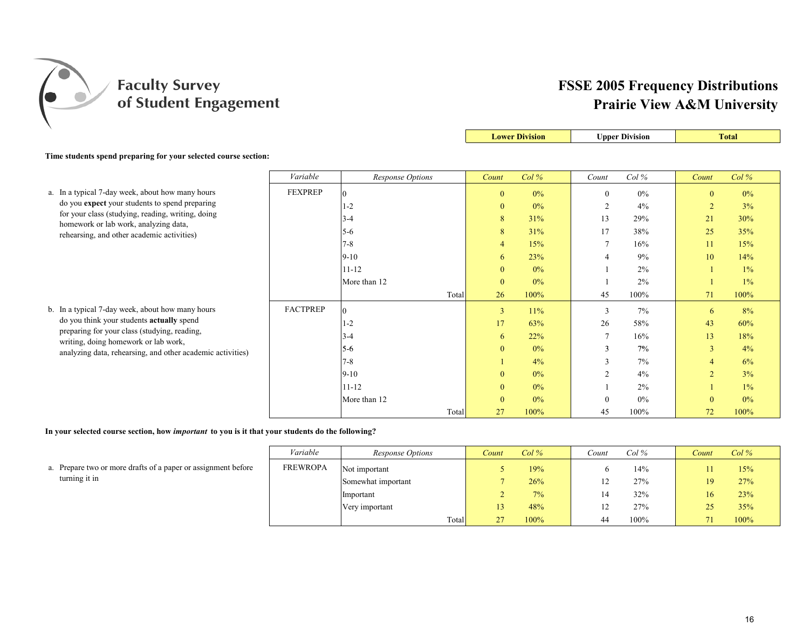

|                                                                                            |                 |                         | <b>Lower Division</b> |         |                 | <b>Upper Division</b> |                | <b>Total</b> |
|--------------------------------------------------------------------------------------------|-----------------|-------------------------|-----------------------|---------|-----------------|-----------------------|----------------|--------------|
| Time students spend preparing for your selected course section:                            |                 |                         |                       |         |                 |                       |                |              |
|                                                                                            | Variable        | <b>Response Options</b> | Count                 | $Col\%$ | Count           | Col%                  | Count          | Col%         |
| a. In a typical 7-day week, about how many hours                                           | <b>FEXPREP</b>  | $\theta$                | $\mathbf{0}$          | $0\%$   | $\mathbf{0}$    | $0\%$                 | $\mathbf{0}$   | $0\%$        |
| do you expect your students to spend preparing                                             |                 | $1-2$                   | $\mathbf{0}$          | $0\%$   | 2               | $4\%$                 | $\overline{2}$ | 3%           |
| for your class (studying, reading, writing, doing<br>homework or lab work, analyzing data, |                 | 3-4                     | 8                     | 31%     | 13              | 29%                   | 21             | 30%          |
| rehearsing, and other academic activities)                                                 |                 | $5 - 6$                 | 8                     | 31%     | 17              | 38%                   | 25             | 35%          |
|                                                                                            |                 | $7 - 8$                 | $\overline{4}$        | 15%     | $7\phantom{.0}$ | 16%                   | 11             | 15%          |
|                                                                                            |                 | $9 - 10$                | 6                     | 23%     | 4               | 9%                    | 10             | 14%          |
|                                                                                            |                 | $11 - 12$               | $\mathbf{0}$          | 0%      |                 | 2%                    |                | $1\%$        |
|                                                                                            |                 | More than 12            | $\mathbf{0}$          | $0\%$   |                 | 2%                    |                | 1%           |
|                                                                                            |                 | Total                   | 26                    | 100%    | 45              | 100%                  | 71             | 100%         |
| b. In a typical 7-day week, about how many hours                                           | <b>FACTPREP</b> | $\Omega$                | $\overline{3}$        | 11%     | $\overline{3}$  | 7%                    | 6              | 8%           |
| do you think your students <b>actually</b> spend                                           |                 | $1-2$                   | 17                    | 63%     | 26              | 58%                   | 43             | 60%          |
| preparing for your class (studying, reading,<br>writing, doing homework or lab work,       |                 | 3-4                     | 6                     | 22%     |                 | 16%                   | 13             | 18%          |
| analyzing data, rehearsing, and other academic activities)                                 |                 | $5 - 6$                 | $\mathbf{0}$          | $0\%$   | 3               | 7%                    | 3              | 4%           |
|                                                                                            |                 | $7 - 8$                 |                       | 4%      | 3               | $7\%$                 | $\overline{4}$ | 6%           |
|                                                                                            |                 | $9 - 10$                | $\mathbf{0}$          | 0%      | 2               | 4%                    | $\overline{2}$ | 3%           |
|                                                                                            |                 | $11 - 12$               | $\mathbf{0}$          | $0\%$   |                 | 2%                    |                | 1%           |
|                                                                                            |                 | More than 12            | $\mathbf{0}$          | 0%      |                 | 0%                    |                | 0%           |
|                                                                                            |                 | Total                   | 27                    | 100%    | 45              | 100%                  | 72             | 100%         |

**In your selected course section, how** *important* **to you is it that your students do the following?**

|                                                               | Variable        | Response Options   | Count           | $Col \mathscr{C}$ | .'ount | Col % | Count | Col% |
|---------------------------------------------------------------|-----------------|--------------------|-----------------|-------------------|--------|-------|-------|------|
| a. Prepare two or more drafts of a paper or assignment before | <b>FREWROPA</b> | Not important      |                 | 19%               |        | 14%   |       | 15%  |
| turning it in                                                 |                 | Somewhat important |                 | 26%               |        | 27%   | 19    | 27%  |
|                                                               |                 | Important          |                 | 7%                |        | 32%   |       | 23%  |
|                                                               |                 | Very important     | 13 <sup>7</sup> | 48%               |        | 27%   | 25    | 35%  |
|                                                               |                 | Total              | 27              | 100%              | 44     | 100%  |       | 100% |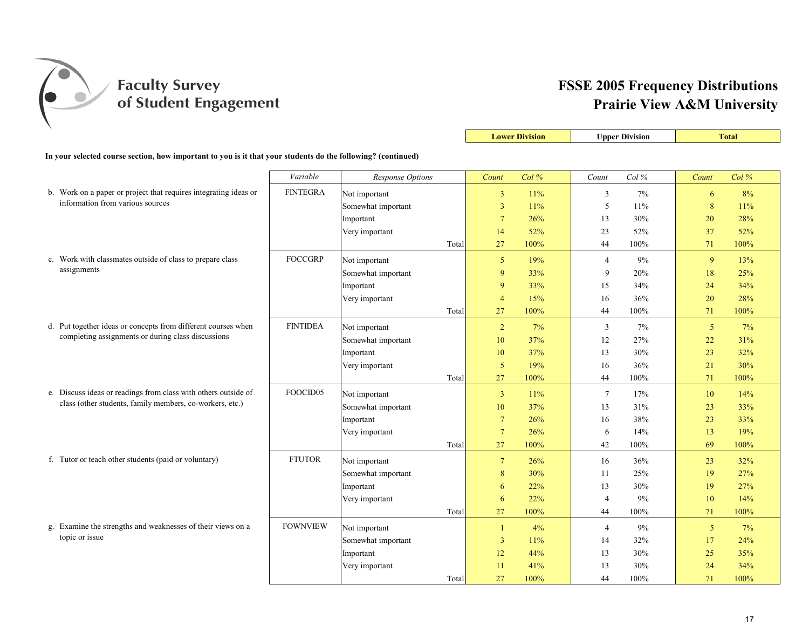

|                                                                                                              |                 |                         |                         | <b>Lower Division</b> |                 | <b>Upper Division</b> |                | <b>Total</b> |
|--------------------------------------------------------------------------------------------------------------|-----------------|-------------------------|-------------------------|-----------------------|-----------------|-----------------------|----------------|--------------|
| In your selected course section, how important to you is it that your students do the following? (continued) |                 |                         |                         |                       |                 |                       |                |              |
|                                                                                                              | Variable        | <b>Response Options</b> | Count                   | Col%                  | Count           | Col%                  | Count          | Col%         |
| b. Work on a paper or project that requires integrating ideas or                                             | <b>FINTEGRA</b> | Not important           | $\overline{\mathbf{3}}$ | 11%                   | 3               | 7%                    | 6              | 8%           |
| information from various sources                                                                             |                 | Somewhat important      | $\overline{\mathbf{3}}$ | 11%                   | 5               | 11%                   | 8              | 11%          |
|                                                                                                              |                 | Important               | $7\phantom{.0}$         | 26%                   | 13              | 30%                   | 20             | 28%          |
|                                                                                                              |                 | Very important          | 14                      | 52%                   | 23              | 52%                   | 37             | 52%          |
|                                                                                                              |                 | Total                   | 27                      | 100%                  | 44              | 100%                  | 71             | 100%         |
| c. Work with classmates outside of class to prepare class                                                    | <b>FOCCGRP</b>  | Not important           | $\overline{5}$          | 19%                   | $\overline{4}$  | 9%                    | 9              | 13%          |
| assignments                                                                                                  |                 | Somewhat important      | 9                       | 33%                   | 9               | 20%                   | 18             | 25%          |
|                                                                                                              |                 | Important               | 9                       | 33%                   | 15              | 34%                   | 24             | 34%          |
|                                                                                                              |                 | Very important          | $\overline{4}$          | 15%                   | 16              | 36%                   | 20             | 28%          |
|                                                                                                              |                 | Total                   | 27                      | 100%                  | 44              | 100%                  | 71             | 100%         |
| d. Put together ideas or concepts from different courses when                                                | <b>FINTIDEA</b> | Not important           | $\overline{2}$          | 7%                    | 3               | 7%                    | 5 <sup>5</sup> | 7%           |
| completing assignments or during class discussions                                                           |                 | Somewhat important      | 10                      | 37%                   | 12              | 27%                   | 22             | 31%          |
|                                                                                                              |                 | Important               | 10                      | 37%                   | 13              | 30%                   | 23             | 32%          |
|                                                                                                              |                 | Very important          | 5                       | 19%                   | 16              | 36%                   | 21             | 30%          |
|                                                                                                              |                 | Total                   | 27                      | 100%                  | 44              | 100%                  | 71             | 100%         |
| e. Discuss ideas or readings from class with others outside of                                               | FOOCID05        | Not important           | $\overline{3}$          | 11%                   | $7\phantom{.0}$ | 17%                   | 10             | 14%          |
| class (other students, family members, co-workers, etc.)                                                     |                 | Somewhat important      | 10                      | 37%                   | 13              | 31%                   | 23             | 33%          |
|                                                                                                              |                 | Important               | $7\phantom{.0}$         | 26%                   | 16              | 38%                   | 23             | 33%          |
|                                                                                                              |                 | Very important          | $7\phantom{.0}$         | 26%                   | 6               | 14%                   | 13             | 19%          |
|                                                                                                              |                 | Total                   | 27                      | 100%                  | 42              | 100%                  | 69             | 100%         |
| f. Tutor or teach other students (paid or voluntary)                                                         | <b>FTUTOR</b>   | Not important           | $7\phantom{.0}$         | 26%                   | 16              | 36%                   | 23             | 32%          |
|                                                                                                              |                 | Somewhat important      | 8                       | 30%                   | 11              | 25%                   | 19             | 27%          |
|                                                                                                              |                 | Important               | 6                       | 22%                   | 13              | 30%                   | 19             | 27%          |
|                                                                                                              |                 | Very important          | 6                       | 22%                   | $\overline{4}$  | 9%                    | 10             | 14%          |
|                                                                                                              |                 | Total                   | 27                      | 100%                  | 44              | 100%                  | 71             | 100%         |
| g. Examine the strengths and weaknesses of their views on a                                                  | <b>FOWNVIEW</b> | Not important           | -1                      | 4%                    | $\overline{4}$  | 9%                    | 5 <sup>5</sup> | 7%           |
| topic or issue                                                                                               |                 | Somewhat important      | $\overline{3}$          | 11%                   | 14              | 32%                   | 17             | 24%          |
|                                                                                                              |                 | Important               | 12                      | 44%                   | 13              | 30%                   | 25             | 35%          |
|                                                                                                              |                 | Very important          | 11                      | 41%                   | 13              | 30%                   | 24             | 34%          |
|                                                                                                              |                 | Total                   | 27                      | 100%                  | 44              | 100%                  | 71             | 100%         |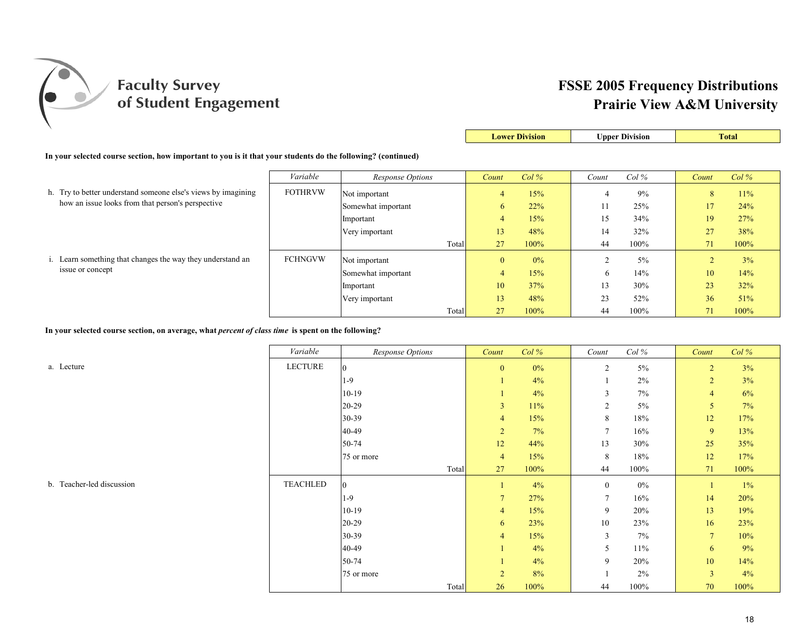

|                                                                                                              |                |                    |                | <b>Lower Division</b> |       | <b>Upper Division</b> |       | <b>Total</b> |
|--------------------------------------------------------------------------------------------------------------|----------------|--------------------|----------------|-----------------------|-------|-----------------------|-------|--------------|
| In your selected course section, how important to you is it that your students do the following? (continued) |                |                    |                |                       |       |                       |       |              |
|                                                                                                              | Variable       | Response Options   | Count          | $Col\%$               | Count | $Col\%$               | Count | $Col\%$      |
| h. Try to better understand someone else's views by imagining                                                | <b>FOTHRVW</b> | Not important      | 4              | 15%                   | 4     | 9%                    | 8     | 11%          |
| how an issue looks from that person's perspective                                                            |                | Somewhat important | 6              | 22%                   | 11    | 25%                   | 17    | 24%          |
|                                                                                                              |                | Important          | $\overline{4}$ | 15%                   | 15    | 34%                   | 19    | 27%          |
|                                                                                                              |                | Very important     | 13             | 48%                   | 14    | 32%                   | 27    | 38%          |
|                                                                                                              |                | Total              | 27             | 100%                  | 44    | 100%                  | 71    | 100%         |
| i. Learn something that changes the way they understand an                                                   | <b>FCHNGVW</b> | Not important      | $\mathbf{0}$   | 0%                    |       | 5%                    | 2     | 3%           |
| issue or concept                                                                                             |                | Somewhat important | $\overline{4}$ | 15%                   | 6     | 14%                   | 10    | 14%          |
|                                                                                                              |                | Important          | 10             | 37%                   | 13    | 30%                   | 23    | 32%          |
|                                                                                                              |                | Very important     | 13             | 48%                   | 23    | 52%                   | 36    | 51%          |
|                                                                                                              |                | Total              | 27             | 100%                  | 44    | 100%                  | 71    | 100%         |

**In your selected course section, on average, what** *percent of class time* **is spent on the following?**

*Variable Variable Response Options Count Col % Count Col % Count Col %* a. Lecture LECTURE 0 0 0% 2 5% 2 3% 1-9 1  $1 \t 4\t 4\t 1$   $2\t 6$  2  $3\t 6$  $10-19$  1  $4\%$  3 7% 4 6% 20-29 3 11% 2 5% 5 7% 30-39 **4 15% 8 18% 12 17%** 40-49 2 7% 7 16% 9 13% 50-74 12 44% 13 30% 25 35% 75 or more 12 17% 12 17% 12 17% 12 17% 12 17% Total 27 100% 44 100% 71 100% b. Teacher-led discussion TEACHLED 0 1 4% 0 0% 1 1% 1-9 10% 14 20% 14 20% 14 20% 14 20%  $10-19$  10.19 10.19 10.19 10.19 10.19 10.19 10.19 10.19 10.19 10.19 10.19 10.19 10.19 10.19 10.19 10.19 10.19 10.19 10.19 10.19 10.19 10.19 10.19 10.19 10.19 10.19 10.19 10.19 10.19 10.19 10.19 10.19 10.19 10.19 10.19 10.  $20-29$  10 23% 10 23% 16 23%  $30-39$  3  $7\%$  3  $7\%$  7  $10\%$ 40-49 **1** 1 4% 5 11% 6 9%  $50-74$  1  $4\%$  9  $20\%$  10  $14\%$ 75 or more 2 8% 1 2% 3 4% Total 26 100% 44 100% 70 100%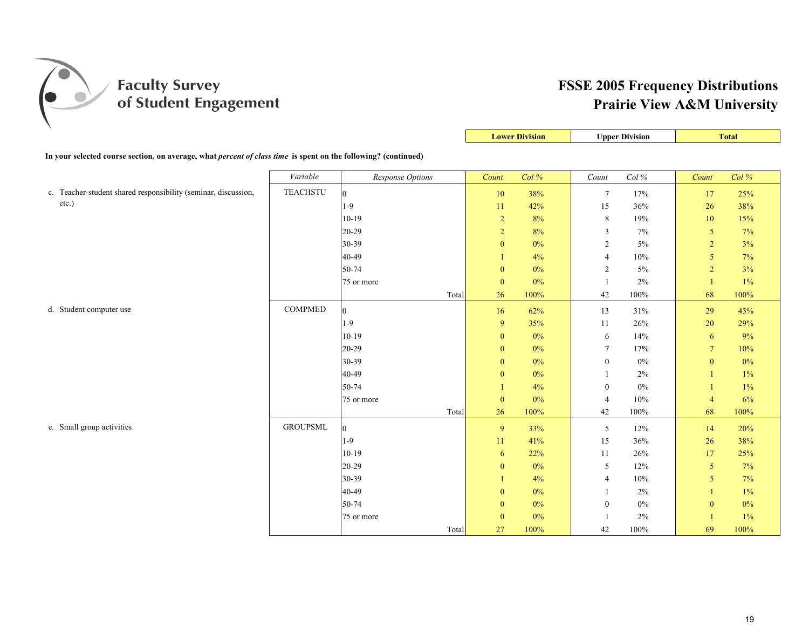

**Lower Division Upper Division Total** 

| In your selected course section, on average, what <i>percent of class time</i> is spent on the following? (continued) |                 |                  |                  |       |                  |       |                  |       |
|-----------------------------------------------------------------------------------------------------------------------|-----------------|------------------|------------------|-------|------------------|-------|------------------|-------|
|                                                                                                                       | Variable        | Response Options | Count            | Col%  | Count            | Col%  | Count            | Col%  |
| c. Teacher-student shared responsibility (seminar, discussion,                                                        | <b>TEACHSTU</b> | $\overline{0}$   | $10\,$           | 38%   | $7\phantom{.0}$  | 17%   | 17               | 25%   |
| $etc.$ )                                                                                                              |                 | $1-9$            | 11               | 42%   | 15               | 36%   | 26               | 38%   |
|                                                                                                                       |                 | $10-19$          | $\overline{2}$   | 8%    | 8                | 19%   | 10               | 15%   |
|                                                                                                                       |                 | $20 - 29$        | $\sqrt{2}$       | $8\%$ | 3                | $7\%$ | $\sqrt{5}$       | 7%    |
|                                                                                                                       |                 | 30-39            | $\mathbf{0}$     | $0\%$ | $\sqrt{2}$       | $5\%$ | $\sqrt{2}$       | 3%    |
|                                                                                                                       |                 | 40-49            |                  | 4%    | $\overline{4}$   | 10%   | 5                | 7%    |
|                                                                                                                       |                 | 50-74            | $\mathbf{0}$     | $0\%$ | 2                | $5\%$ | $\overline{2}$   | 3%    |
|                                                                                                                       |                 | 75 or more       | $\boldsymbol{0}$ | $0\%$ |                  | $2\%$ | $\mathbf{1}$     | $1\%$ |
|                                                                                                                       |                 | Total            | 26               | 100%  | 42               | 100%  | 68               | 100%  |
| d. Student computer use                                                                                               | <b>COMPMED</b>  | $\overline{0}$   | 16               | 62%   | 13               | 31%   | 29               | 43%   |
|                                                                                                                       |                 | $1-9$            | 9                | 35%   | 11               | 26%   | 20               | 29%   |
|                                                                                                                       |                 | $10-19$          | $\mathbf{0}$     | $0\%$ | 6                | 14%   | 6                | 9%    |
|                                                                                                                       |                 | 20-29            | $\mathbf{0}$     | $0\%$ | $\overline{7}$   | 17%   | $7\overline{ }$  | 10%   |
|                                                                                                                       |                 | 30-39            | $\mathbf{0}$     | $0\%$ | $\mathbf{0}$     | $0\%$ | $\mathbf{0}$     | $0\%$ |
|                                                                                                                       |                 | 40-49            | $\mathbf{0}$     | $0\%$ | $\mathbf{1}$     | 2%    | $\mathbf{1}$     | $1\%$ |
|                                                                                                                       |                 | 50-74            |                  | 4%    | $\boldsymbol{0}$ | $0\%$ | $\mathbf{1}$     | $1\%$ |
|                                                                                                                       |                 | 75 or more       | $\mathbf{0}$     | $0\%$ | $\overline{4}$   | 10%   | $\overline{4}$   | $6\%$ |
|                                                                                                                       |                 | Total            | 26               | 100%  | 42               | 100%  | 68               | 100%  |
| e. Small group activities                                                                                             | <b>GROUPSML</b> | $\overline{0}$   | 9                | 33%   | 5                | 12%   | 14               | 20%   |
|                                                                                                                       |                 | $1-9$            | 11               | 41%   | 15               | 36%   | 26               | 38%   |
|                                                                                                                       |                 | $10-19$          | 6                | 22%   | 11               | 26%   | 17               | 25%   |
|                                                                                                                       |                 | 20-29            | $\mathbf{0}$     | $0\%$ | 5                | 12%   | $\mathfrak{s}$   | 7%    |
|                                                                                                                       |                 | 30-39            |                  | 4%    | $\overline{4}$   | 10%   | 5                | 7%    |
|                                                                                                                       |                 | 40-49            | $\boldsymbol{0}$ | $0\%$ |                  | 2%    | $\mathbf{1}$     | $1\%$ |
|                                                                                                                       |                 | 50-74            | $\mathbf{0}$     | $0\%$ | $\boldsymbol{0}$ | $0\%$ | $\boldsymbol{0}$ | $0\%$ |
|                                                                                                                       |                 | 75 or more       | $\mathbf{0}$     | $0\%$ |                  | $2\%$ | -1               | $1\%$ |
|                                                                                                                       |                 | Total            | 27               | 100%  | 42               | 100%  | 69               | 100%  |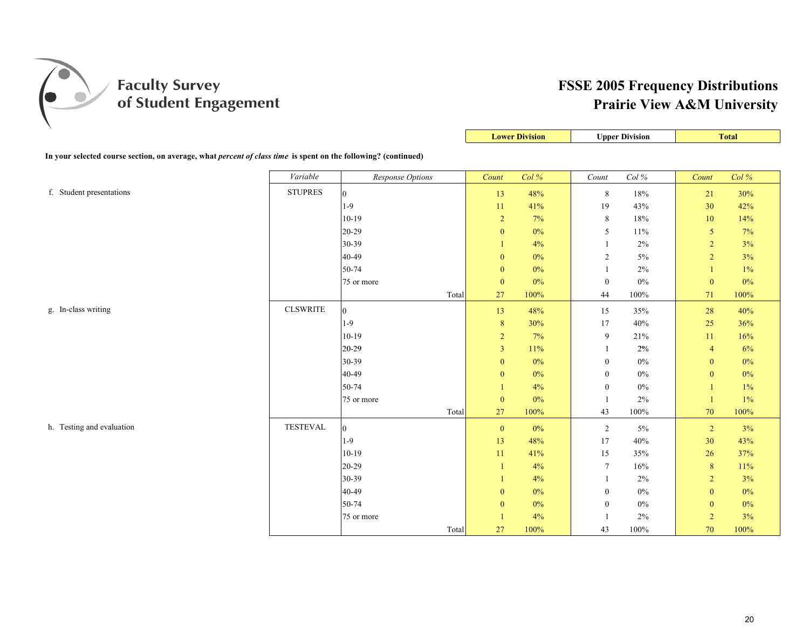

|                                                                                                                |                 |                  |                  | <b>Lower Division</b> |                  | <b>Upper Division</b> |                  | <b>Total</b> |
|----------------------------------------------------------------------------------------------------------------|-----------------|------------------|------------------|-----------------------|------------------|-----------------------|------------------|--------------|
| In your selected course section, on average, what percent of class time is spent on the following? (continued) |                 |                  |                  |                       |                  |                       |                  |              |
|                                                                                                                | Variable        | Response Options | Count            | Col%                  | Count            | Col %                 | Count            | Col %        |
| f. Student presentations                                                                                       | <b>STUPRES</b>  | $\bf{0}$         | 13               | 48%                   | 8                | $18\%$                | $21\,$           | 30%          |
|                                                                                                                |                 | $1-9$            | $11\,$           | 41%                   | 19               | 43%                   | 30               | 42%          |
|                                                                                                                |                 | $10-19$          | $\overline{2}$   | 7%                    | 8                | $18\%$                | 10               | 14%          |
|                                                                                                                |                 | 20-29            | $\boldsymbol{0}$ | $0\%$                 | 5                | $11\%$                | 5                | 7%           |
|                                                                                                                |                 | 30-39            |                  | 4%                    | $\mathbf{1}$     | $2\%$                 | $\overline{2}$   | 3%           |
|                                                                                                                |                 | 40-49            | $\boldsymbol{0}$ | $0\%$                 | $\overline{2}$   | $5\%$                 | $\overline{c}$   | 3%           |
|                                                                                                                |                 | 50-74            | $\boldsymbol{0}$ | $0\%$                 | -1               | $2\%$                 | 1                | 1%           |
|                                                                                                                |                 | 75 or more       | $\boldsymbol{0}$ | $0\%$                 | $\boldsymbol{0}$ | $0\%$                 | $\boldsymbol{0}$ | $0\%$        |
|                                                                                                                |                 | Total            | 27               | 100%                  | 44               | 100%                  | 71               | 100%         |
| g. In-class writing                                                                                            | <b>CLSWRITE</b> | $\bf{0}$         | 13               | 48%                   | 15               | 35%                   | 28               | 40%          |
|                                                                                                                |                 | $1-9$            | $\,8\,$          | 30%                   | 17               | 40%                   | 25               | 36%          |
|                                                                                                                |                 | $10-19$          | $\overline{2}$   | 7%                    | 9                | 21%                   | 11               | 16%          |
|                                                                                                                |                 | 20-29            | $\mathfrak{Z}$   | 11%                   | 1                | 2%                    | $\overline{4}$   | 6%           |
|                                                                                                                |                 | 30-39            | $\mathbf{0}$     | $0\%$                 | $\boldsymbol{0}$ | $0\%$                 | $\mathbf{0}$     | $0\%$        |
|                                                                                                                |                 | 40-49            | $\boldsymbol{0}$ | $0\%$                 | $\boldsymbol{0}$ | $0\%$                 | $\mathbf{0}$     | $0\%$        |
|                                                                                                                |                 | 50-74            |                  | 4%                    | $\boldsymbol{0}$ | $0\%$                 |                  | $1\%$        |
|                                                                                                                |                 | 75 or more       | $\mathbf{0}$     | $0\%$                 | $\overline{1}$   | 2%                    |                  | 1%           |
|                                                                                                                |                 | Total            | 27               | 100%                  | 43               | $100\%$               | 70               | 100%         |
| h. Testing and evaluation                                                                                      | <b>TESTEVAL</b> | $\bf{0}$         | $\pmb{0}$        | $0\%$                 | $\overline{2}$   | $5\%$                 | $\overline{2}$   | 3%           |
|                                                                                                                |                 | $1-9$            | 13               | 48%                   | 17               | 40%                   | 30               | 43%          |
|                                                                                                                |                 | $10-19$          | $11\,$           | 41%                   | 15               | 35%                   | 26               | 37%          |
|                                                                                                                |                 | $20-29$          | 1                | 4%                    | $\tau$           | $16\%$                | $8\phantom{.}$   | 11%          |
|                                                                                                                |                 | 30-39            | 1                | 4%                    | 1                | $2\%$                 | $\overline{2}$   | 3%           |
|                                                                                                                |                 | 40-49            | $\boldsymbol{0}$ | $0\%$                 | $\boldsymbol{0}$ | $0\%$                 | $\mathbf{0}$     | $0\%$        |
|                                                                                                                |                 | 50-74            | $\boldsymbol{0}$ | $0\%$                 | $\boldsymbol{0}$ | $0\%$                 | $\boldsymbol{0}$ | $0\%$        |
|                                                                                                                |                 | 75 or more       | $\mathbf{1}$     | 4%                    | -1               | $2\%$                 | $\overline{2}$   | 3%           |
|                                                                                                                |                 | Total            | 27               | 100%                  | 43               | 100%                  | 70               | 100%         |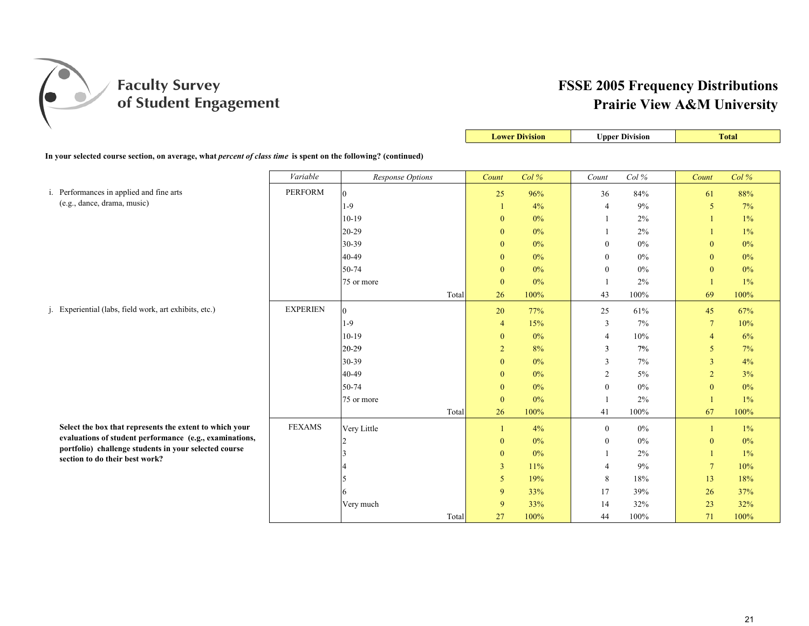

|                                                                                                                       |                 |                  |       |                  | <b>Lower Division</b> |                  | <b>Upper Division</b> |                 | <b>Total</b> |
|-----------------------------------------------------------------------------------------------------------------------|-----------------|------------------|-------|------------------|-----------------------|------------------|-----------------------|-----------------|--------------|
| In your selected course section, on average, what <i>percent of class time</i> is spent on the following? (continued) |                 |                  |       |                  |                       |                  |                       |                 |              |
|                                                                                                                       |                 |                  |       |                  |                       |                  |                       |                 |              |
|                                                                                                                       | Variable        | Response Options |       | Count            | Col%                  | Count            | Col %                 | Count           | Col%         |
| i. Performances in applied and fine arts                                                                              | <b>PERFORM</b>  | $\overline{0}$   |       | 25               | 96%                   | 36               | 84%                   | 61              | 88%          |
| (e.g., dance, drama, music)                                                                                           |                 | $1-9$            |       | 1                | 4%                    | $\overline{4}$   | 9%                    | 5               | 7%           |
|                                                                                                                       |                 | $10-19$          |       | $\mathbf{0}$     | 0%                    |                  | 2%                    |                 | $1\%$        |
|                                                                                                                       |                 | 20-29            |       | $\mathbf{0}$     | $0\%$                 |                  | 2%                    |                 | $1\%$        |
|                                                                                                                       |                 | 30-39            |       | $\mathbf{0}$     | $0\%$                 | $\mathbf{0}$     | 0%                    | $\theta$        | $0\%$        |
|                                                                                                                       |                 | 40-49            |       | $\mathbf{0}$     | 0%                    | $\boldsymbol{0}$ | $0\%$                 | $\mathbf{0}$    | $0\%$        |
|                                                                                                                       |                 | 50-74            |       | $\mathbf{0}$     | $0\%$                 | $\mathbf{0}$     | $0\%$                 | $\mathbf{0}$    | $0\%$        |
|                                                                                                                       |                 | 75 or more       |       | $\boldsymbol{0}$ | $0\%$                 | -1               | 2%                    |                 | $1\%$        |
|                                                                                                                       |                 |                  | Total | 26               | 100%                  | 43               | 100%                  | 69              | 100%         |
| j. Experiential (labs, field work, art exhibits, etc.)                                                                | <b>EXPERIEN</b> | $\overline{0}$   |       | 20               | 77%                   | 25               | 61%                   | 45              | 67%          |
|                                                                                                                       |                 | $1-9$            |       | $\overline{4}$   | 15%                   | 3                | $7\%$                 | $7\phantom{.0}$ | 10%          |
|                                                                                                                       |                 | $10-19$          |       | $\mathbf{0}$     | $0\%$                 | $\overline{4}$   | 10%                   | $\overline{4}$  | 6%           |
|                                                                                                                       |                 | 20-29            |       | $\overline{2}$   | 8%                    | 3                | 7%                    | 5               | 7%           |
|                                                                                                                       |                 | 30-39            |       | $\mathbf{0}$     | $0\%$                 | 3                | 7%                    | 3               | 4%           |
|                                                                                                                       |                 | 40-49            |       | $\mathbf{0}$     | $0\%$                 | $\overline{2}$   | 5%                    | $\overline{2}$  | 3%           |
|                                                                                                                       |                 | 50-74            |       | $\mathbf{0}$     | 0%                    | $\mathbf{0}$     | $0\%$                 | $\mathbf{0}$    | $0\%$        |
|                                                                                                                       |                 | 75 or more       |       | $\mathbf{0}$     | $0\%$                 |                  | 2%                    |                 | $1\%$        |
|                                                                                                                       |                 |                  | Total | 26               | 100%                  | 41               | 100%                  | 67              | 100%         |
| Select the box that represents the extent to which your                                                               | <b>FEXAMS</b>   | Very Little      |       | $\mathbf{1}$     | 4%                    | $\boldsymbol{0}$ | $0\%$                 |                 | $1\%$        |
| evaluations of student performance (e.g., examinations,                                                               |                 |                  |       | $\mathbf{0}$     | 0%                    | $\mathbf{0}$     | $0\%$                 | $\mathbf{0}$    | $0\%$        |
| portfolio) challenge students in your selected course                                                                 |                 |                  |       | $\mathbf{0}$     | $0\%$                 |                  | 2%                    |                 | $1\%$        |
| section to do their best work?                                                                                        |                 |                  |       | 3                | 11%                   | $\overline{4}$   | 9%                    | $7\phantom{.0}$ | 10%          |
|                                                                                                                       |                 |                  |       | 5                | 19%                   | 8                | 18%                   | 13              | 18%          |
|                                                                                                                       |                 |                  |       | 9                | 33%                   | 17               | 39%                   | 26              | 37%          |
|                                                                                                                       |                 | Very much        |       | 9                | 33%                   | 14               | 32%                   | 23              | 32%          |
|                                                                                                                       |                 |                  | Total | 27               | 100%                  | 44               | 100%                  | 71              | 100%         |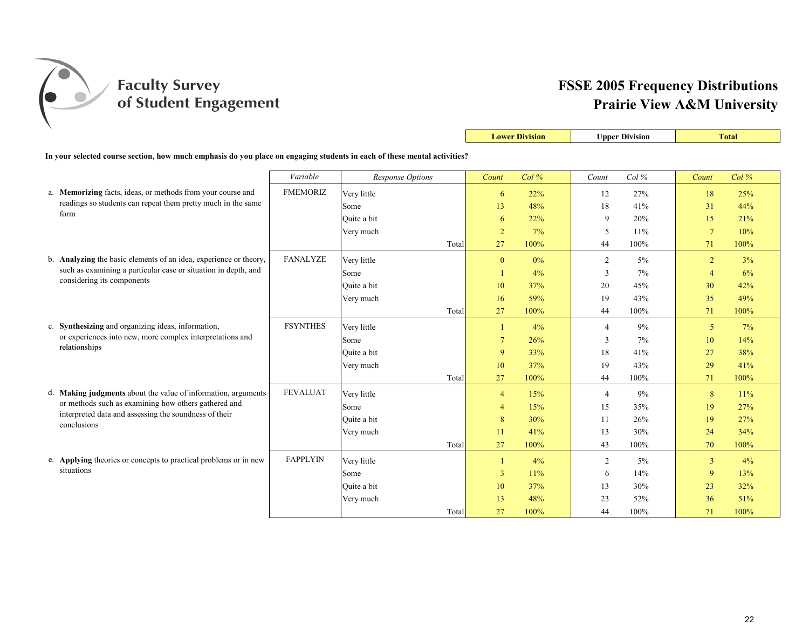

|                                                                                                                          |                 |                  |       |                | <b>Lower Division</b> | <b>Upper Division</b> |         |                 | <b>Total</b> |
|--------------------------------------------------------------------------------------------------------------------------|-----------------|------------------|-------|----------------|-----------------------|-----------------------|---------|-----------------|--------------|
| In your selected course section, how much emphasis do you place on engaging students in each of these mental activities? |                 |                  |       |                |                       |                       |         |                 |              |
|                                                                                                                          |                 |                  |       |                |                       |                       |         |                 |              |
|                                                                                                                          | Variable        | Response Options |       | Count          | Col%                  | Count                 | $Col\%$ | Count           | Col%         |
| a. Memorizing facts, ideas, or methods from your course and                                                              | <b>FMEMORIZ</b> | Very little      |       | 6              | 22%                   | 12                    | 27%     | 18              | 25%          |
| readings so students can repeat them pretty much in the same<br>form                                                     |                 | Some             |       | 13             | 48%                   | 18                    | 41%     | 31              | 44%          |
|                                                                                                                          |                 | Ouite a bit      |       | 6              | 22%                   | 9                     | 20%     | 15              | 21%          |
|                                                                                                                          |                 | Very much        |       | $\overline{2}$ | 7%                    | 5                     | 11%     | $7\phantom{.0}$ | 10%          |
|                                                                                                                          |                 |                  | Total | 27             | 100%                  | 44                    | 100%    | 71              | 100%         |
| b. Analyzing the basic elements of an idea, experience or theory,                                                        | <b>FANALYZE</b> | Very little      |       | $\mathbf{0}$   | $0\%$                 | 2                     | $5\%$   | $\overline{2}$  | 3%           |
| such as examining a particular case or situation in depth, and                                                           |                 | Some             |       | 1              | 4%                    | 3                     | 7%      | $\overline{4}$  | 6%           |
| considering its components                                                                                               |                 | Quite a bit      |       | 10             | 37%                   | 20                    | 45%     | 30              | 42%          |
|                                                                                                                          |                 | Very much        |       | 16             | 59%                   | 19                    | 43%     | 35              | 49%          |
|                                                                                                                          |                 |                  | Total | 27             | 100%                  | 44                    | 100%    | 71              | 100%         |
| c. Synthesizing and organizing ideas, information,                                                                       | <b>FSYNTHES</b> | Very little      |       | $\mathbf{1}$   | 4%                    | $\overline{4}$        | 9%      | 5               | 7%           |
| or experiences into new, more complex interpretations and                                                                |                 | Some             |       | $\overline{7}$ | 26%                   | 3                     | 7%      | 10              | 14%          |
| relationships                                                                                                            |                 | Ouite a bit      |       | 9              | 33%                   | 18                    | 41%     | 27              | 38%          |
|                                                                                                                          |                 | Very much        |       | 10             | 37%                   | 19                    | 43%     | 29              | 41%          |
|                                                                                                                          |                 |                  | Total | 27             | 100%                  | 44                    | 100%    | 71              | 100%         |
| d. <b>Making judgments</b> about the value of information, arguments                                                     | <b>FEVALUAT</b> | Very little      |       | $\overline{4}$ | 15%                   | $\overline{4}$        | 9%      | 8               | 11%          |
| or methods such as examining how others gathered and                                                                     |                 | Some             |       | 4              | 15%                   | 15                    | 35%     | 19              | 27%          |
| interpreted data and assessing the soundness of their<br>conclusions                                                     |                 | Quite a bit      |       | 8              | 30%                   | 11                    | 26%     | 19              | 27%          |
|                                                                                                                          |                 | Very much        |       | 11             | 41%                   | 13                    | 30%     | 24              | 34%          |
|                                                                                                                          |                 |                  | Total | 27             | 100%                  | 43                    | 100%    | 70              | 100%         |
| e. Applying theories or concepts to practical problems or in new                                                         | <b>FAPPLYIN</b> | Very little      |       | 1              | 4%                    | $\overline{2}$        | 5%      | $\overline{3}$  | 4%           |
| situations                                                                                                               |                 | Some             |       | 3              | 11%                   | 6                     | 14%     | 9               | 13%          |
|                                                                                                                          |                 | Ouite a bit      |       | 10             | 37%                   | 13                    | 30%     | 23              | 32%          |
|                                                                                                                          |                 | Very much        |       | 13             | 48%                   | 23                    | 52%     | 36              | 51%          |
|                                                                                                                          |                 |                  | Total | 27             | 100%                  | 44                    | 100%    | 71              | 100%         |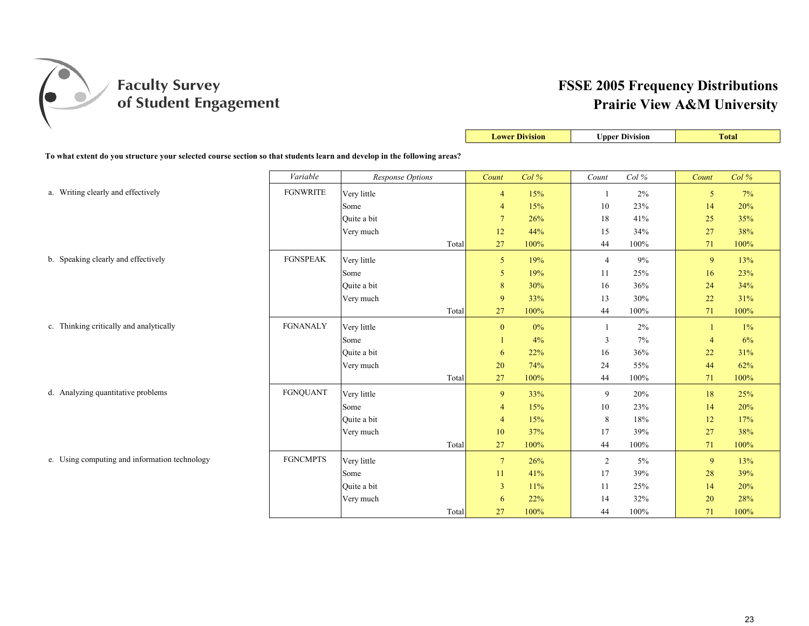

|                                                                                                                         |                 |                  |       |                | <b>Lower Division</b> |                | <b>Upper Division</b> |                | <b>Total</b> |
|-------------------------------------------------------------------------------------------------------------------------|-----------------|------------------|-------|----------------|-----------------------|----------------|-----------------------|----------------|--------------|
| To what extent do you structure your selected course section so that students learn and develop in the following areas? |                 |                  |       |                |                       |                |                       |                |              |
|                                                                                                                         | Variable        | Response Options |       | Count          | Col%                  | Count          | Col $\%$              | Count          | Col%         |
|                                                                                                                         |                 |                  |       |                |                       |                |                       |                |              |
| a. Writing clearly and effectively                                                                                      | <b>FGNWRITE</b> | Very little      |       | $\overline{4}$ | 15%                   |                | 2%                    | 5              | 7%           |
|                                                                                                                         |                 | Some             |       | $\overline{4}$ | 15%                   | 10             | 23%                   | 14             | 20%          |
|                                                                                                                         |                 | Quite a bit      |       | $\overline{7}$ | 26%                   | 18             | 41%                   | 25             | 35%          |
|                                                                                                                         |                 | Very much        |       | 12             | 44%                   | 15             | 34%                   | 27             | 38%          |
|                                                                                                                         |                 |                  | Total | 27             | 100%                  | 44             | 100%                  | 71             | 100%         |
| b. Speaking clearly and effectively                                                                                     | <b>FGNSPEAK</b> | Very little      |       | 5 <sup>5</sup> | 19%                   | $\overline{4}$ | 9%                    | 9              | 13%          |
|                                                                                                                         |                 | Some             |       | 5              | 19%                   | 11             | 25%                   | 16             | 23%          |
|                                                                                                                         |                 | Quite a bit      |       | 8              | 30%                   | 16             | 36%                   | 24             | 34%          |
|                                                                                                                         |                 | Very much        |       | 9              | 33%                   | 13             | 30%                   | 22             | 31%          |
|                                                                                                                         |                 |                  | Total | 27             | 100%                  | 44             | 100%                  | 71             | 100%         |
| c. Thinking critically and analytically                                                                                 | <b>FGNANALY</b> | Very little      |       | $\mathbf{0}$   | 0%                    | 1              | 2%                    | $\mathbf{1}$   | $1\%$        |
|                                                                                                                         |                 | Some             |       |                | 4%                    | 3              | 7%                    | $\overline{4}$ | 6%           |
|                                                                                                                         |                 | Quite a bit      |       | 6              | 22%                   | 16             | 36%                   | 22             | 31%          |
|                                                                                                                         |                 | Very much        |       | 20             | 74%                   | 24             | 55%                   | 44             | 62%          |
|                                                                                                                         |                 |                  | Total | 27             | 100%                  | 44             | 100%                  | 71             | 100%         |
| d. Analyzing quantitative problems                                                                                      | <b>FGNQUANT</b> | Very little      |       | 9              | 33%                   | 9              | 20%                   | 18             | 25%          |
|                                                                                                                         |                 | Some             |       | $\overline{4}$ | 15%                   | 10             | 23%                   | 14             | 20%          |
|                                                                                                                         |                 | Ouite a bit      |       | $\overline{4}$ | 15%                   | 8              | 18%                   | 12             | 17%          |
|                                                                                                                         |                 | Very much        |       | 10             | 37%                   | 17             | 39%                   | 27             | 38%          |
|                                                                                                                         |                 |                  | Total | 27             | 100%                  | 44             | 100%                  | 71             | 100%         |
| e. Using computing and information technology                                                                           | <b>FGNCMPTS</b> | Very little      |       | $\overline{7}$ | 26%                   | $\overline{c}$ | $5\%$                 | 9              | 13%          |
|                                                                                                                         |                 | Some             |       | 11             | 41%                   | 17             | 39%                   | 28             | 39%          |
|                                                                                                                         |                 | Quite a bit      |       | $\overline{3}$ | 11%                   | 11             | 25%                   | 14             | 20%          |
|                                                                                                                         |                 | Very much        |       | 6              | 22%                   | 14             | 32%                   | 20             | 28%          |
|                                                                                                                         |                 |                  | Total | 27             | 100%                  | 44             | 100%                  | 71             | 100%         |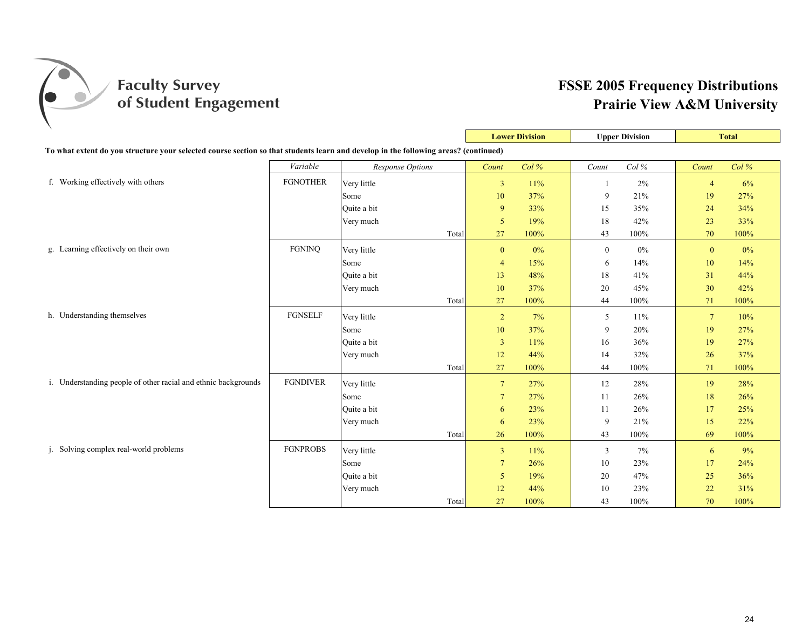

|                                                                                                                                     |                 |                  |       | <b>Lower Division</b> |       | <b>Upper Division</b> |          | <b>Total</b>    |      |
|-------------------------------------------------------------------------------------------------------------------------------------|-----------------|------------------|-------|-----------------------|-------|-----------------------|----------|-----------------|------|
| To what extent do you structure your selected course section so that students learn and develop in the following areas? (continued) |                 |                  |       |                       |       |                       |          |                 |      |
|                                                                                                                                     | Variable        | Response Options |       | Count                 | Col%  | Count                 | Col $\%$ | Count           | Col% |
| f. Working effectively with others                                                                                                  | <b>FGNOTHER</b> | Very little      |       | $\overline{3}$        | 11%   |                       | 2%       | $\overline{4}$  | 6%   |
|                                                                                                                                     |                 | Some             |       | 10                    | 37%   | 9                     | 21%      | 19              | 27%  |
|                                                                                                                                     |                 | Ouite a bit      |       | 9                     | 33%   | 15                    | 35%      | 24              | 34%  |
|                                                                                                                                     |                 | Very much        |       | 5                     | 19%   | 18                    | 42%      | 23              | 33%  |
|                                                                                                                                     |                 |                  | Total | 27                    | 100%  | 43                    | 100%     | 70              | 100% |
| g. Learning effectively on their own                                                                                                | <b>FGNINO</b>   | Very little      |       | $\mathbf{0}$          | $0\%$ | $\boldsymbol{0}$      | $0\%$    | $\mathbf{0}$    | 0%   |
|                                                                                                                                     |                 | Some             |       | $\overline{4}$        | 15%   | 6                     | 14%      | 10              | 14%  |
|                                                                                                                                     |                 | Quite a bit      |       | 13                    | 48%   | 18                    | 41%      | 31              | 44%  |
|                                                                                                                                     |                 | Very much        |       | 10                    | 37%   | 20                    | 45%      | 30              | 42%  |
|                                                                                                                                     |                 |                  | Total | 27                    | 100%  | 44                    | 100%     | 71              | 100% |
| h. Understanding themselves                                                                                                         | <b>FGNSELF</b>  | Very little      |       | $\overline{2}$        | 7%    | 5                     | $11\%$   | $7\phantom{.0}$ | 10%  |
|                                                                                                                                     |                 | Some             |       | 10                    | 37%   | 9                     | 20%      | 19              | 27%  |
|                                                                                                                                     |                 | Quite a bit      |       | $\mathbf{3}$          | 11%   | 16                    | 36%      | 19              | 27%  |
|                                                                                                                                     |                 | Very much        |       | 12                    | 44%   | 14                    | 32%      | 26              | 37%  |
|                                                                                                                                     |                 |                  | Total | 27                    | 100%  | 44                    | 100%     | 71              | 100% |
| i. Understanding people of other racial and ethnic backgrounds                                                                      | <b>FGNDIVER</b> | Very little      |       | $\overline{7}$        | 27%   | 12                    | 28%      | 19              | 28%  |
|                                                                                                                                     |                 | Some             |       | $\overline{7}$        | 27%   | 11                    | 26%      | 18              | 26%  |
|                                                                                                                                     |                 | Ouite a bit      |       | 6                     | 23%   | 11                    | 26%      | 17              | 25%  |
|                                                                                                                                     |                 | Very much        |       | 6                     | 23%   | 9                     | 21%      | 15              | 22%  |
|                                                                                                                                     |                 |                  | Total | 26                    | 100%  | 43                    | 100%     | 69              | 100% |
| j. Solving complex real-world problems                                                                                              | <b>FGNPROBS</b> | Very little      |       | $\overline{3}$        | 11%   | 3                     | 7%       | 6               | 9%   |
|                                                                                                                                     |                 | Some             |       | $\overline{7}$        | 26%   | 10                    | 23%      | 17              | 24%  |
|                                                                                                                                     |                 | Quite a bit      |       | 5                     | 19%   | 20                    | 47%      | 25              | 36%  |
|                                                                                                                                     |                 | Very much        |       | 12                    | 44%   | 10                    | 23%      | 22              | 31%  |
|                                                                                                                                     |                 |                  | Total | 27                    | 100%  | 43                    | 100%     | 70              | 100% |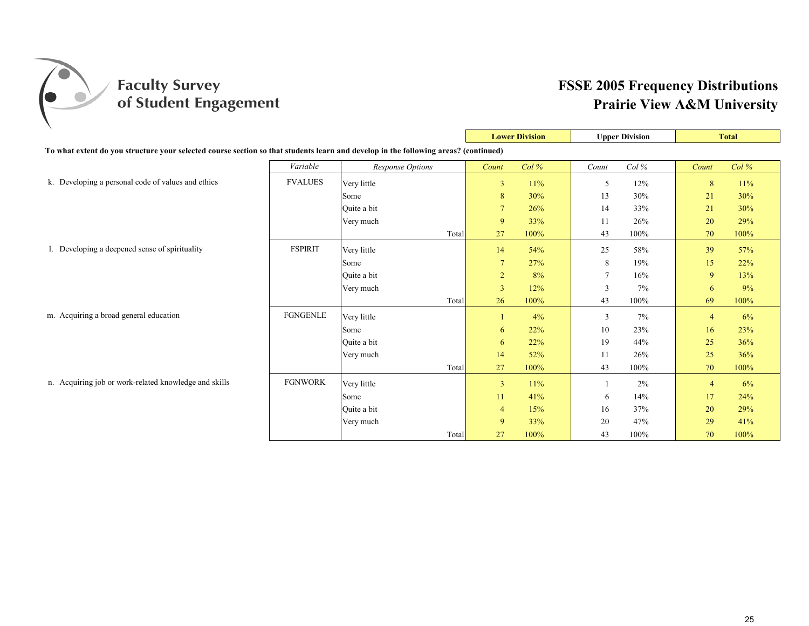

|                                                                                                                                     |                 |                         |                | <b>Lower Division</b> |                | <b>Upper Division</b> |                | <b>Total</b> |
|-------------------------------------------------------------------------------------------------------------------------------------|-----------------|-------------------------|----------------|-----------------------|----------------|-----------------------|----------------|--------------|
| To what extent do you structure your selected course section so that students learn and develop in the following areas? (continued) |                 |                         |                |                       |                |                       |                |              |
|                                                                                                                                     | Variable        | <b>Response Options</b> | Count          | Col%                  | Count          | Col%                  | Count          | $Col\%$      |
| k. Developing a personal code of values and ethics                                                                                  | <b>FVALUES</b>  | Very little             | $\mathbf{3}$   | 11%                   | 5              | 12%                   | 8              | 11%          |
|                                                                                                                                     |                 | Some                    | 8              | 30%                   | 13             | 30%                   | 21             | 30%          |
|                                                                                                                                     |                 | Ouite a bit             | $\overline{7}$ | 26%                   | 14             | 33%                   | 21             | 30%          |
|                                                                                                                                     |                 | Very much               | 9              | 33%                   | 11             | 26%                   | 20             | 29%          |
|                                                                                                                                     |                 | Total                   | 27             | 100%                  | 43             | 100%                  | 70             | 100%         |
| 1. Developing a deepened sense of spirituality                                                                                      | <b>FSPIRIT</b>  | Very little             | 14             | 54%                   | 25             | 58%                   | 39             | 57%          |
|                                                                                                                                     |                 | Some                    | $\overline{7}$ | 27%                   | 8              | 19%                   | 15             | 22%          |
|                                                                                                                                     |                 | Ouite a bit             | $\overline{2}$ | 8%                    | $\overline{7}$ | 16%                   | 9              | 13%          |
|                                                                                                                                     |                 | Very much               | $\mathfrak{Z}$ | 12%                   | 3              | 7%                    | 6              | 9%           |
|                                                                                                                                     |                 | Total                   | 26             | 100%                  | 43             | 100%                  | 69             | 100%         |
| m. Acquiring a broad general education                                                                                              | <b>FGNGENLE</b> | Very little             |                | 4%                    | 3              | $7\%$                 | $\overline{4}$ | 6%           |
|                                                                                                                                     |                 | Some                    | 6              | 22%                   | 10             | 23%                   | 16             | 23%          |
|                                                                                                                                     |                 | Quite a bit             | 6              | 22%                   | 19             | 44%                   | 25             | 36%          |
|                                                                                                                                     |                 | Very much               | 14             | 52%                   | 11             | 26%                   | 25             | 36%          |
|                                                                                                                                     |                 | Total                   | 27             | 100%                  | 43             | 100%                  | 70             | 100%         |
| n. Acquiring job or work-related knowledge and skills                                                                               | <b>FGNWORK</b>  | Very little             | $\overline{3}$ | 11%                   |                | 2%                    | $\overline{4}$ | 6%           |
|                                                                                                                                     |                 | Some                    | 11             | 41%                   | 6              | 14%                   | 17             | 24%          |
|                                                                                                                                     |                 | Quite a bit             | $\overline{4}$ | 15%                   | 16             | 37%                   | 20             | 29%          |
|                                                                                                                                     |                 | Very much               | 9              | 33%                   | 20             | 47%                   | 29             | 41%          |
|                                                                                                                                     |                 | Total                   | 27             | 100%                  | 43             | 100%                  | 70             | 100%         |